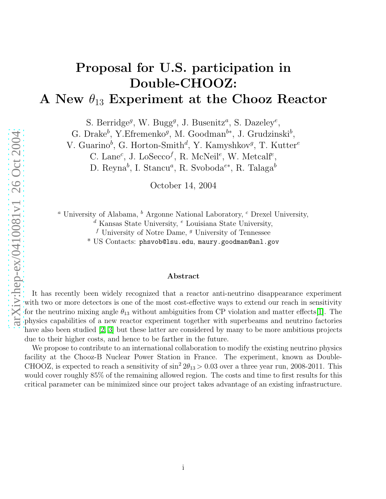# Proposal for U.S. participation in Double-CHOOZ:

## A New  $\theta_{13}$  Experiment at the Chooz Reactor

S. Berridge<sup>g</sup>, W. Bugg<sup>g</sup>, J. Busenitz<sup>a</sup>, S. Dazeley<sup>e</sup>,

G. Drake<sup>b</sup>, Y. Efremenko<sup>g</sup>, M. Goodman<sup>b\*</sup>, J. Grudzinski<sup>b</sup>,

V. Guarino<sup>b</sup>, G. Horton-Smith<sup>d</sup>, Y. Kamyshkov<sup>g</sup>, T. Kutter<sup>e</sup>

C. Lane<sup>c</sup>, J. Lo $\text{Seco}^f$ , R. McNeil<sup>e</sup>, W. Metcalf<sup>e</sup>,

D. Reyna<sup>b</sup>, I. Stancu<sup>a</sup>, R. Svoboda<sup>e\*</sup>, R. Talaga<sup>b</sup>

October 14, 2004

<sup>a</sup> University of Alabama, <sup>b</sup> Argonne National Laboratory, <sup>c</sup> Drexel University,

<sup>d</sup> Kansas State University, <sup>e</sup> Louisiana State University,

f University of Notre Dame,  $g$  University of Tennessee

 $^{\ast}$  US  $\rm{Contents:}$   $\rm{phsvob@lsu.edu},$   $\rm{naury.goodman@anl.gov}$ 

#### Abstract

It has recently been widely recognized that a reactor anti-neutrino disappearance experiment with two or more detectors is one of the most cost-effective ways to extend our reach in sensitivity for the neutrino mixing angle  $\theta_{13}$  without ambiguities from CP violation and matter effects[\[1\]](#page-67-0). The physics capabilities of a new reactor experiment together with superbeams and neutrino factories have also been studied [\[2,](#page-67-1) [3\]](#page-67-2) but these latter are considered by many to be more ambitious projects due to their higher costs, and hence to be farther in the future.

We propose to contribute to an international collaboration to modify the existing neutrino physics facility at the Chooz-B Nuclear Power Station in France. The experiment, known as Double-CHOOZ, is expected to reach a sensitivity of  $\sin^2 2\theta_{13} > 0.03$  over a three year run, 2008-2011. This would cover roughly 85% of the remaining allowed region. The costs and time to first results for this critical parameter can be minimized since our project takes advantage of an existing infrastructure.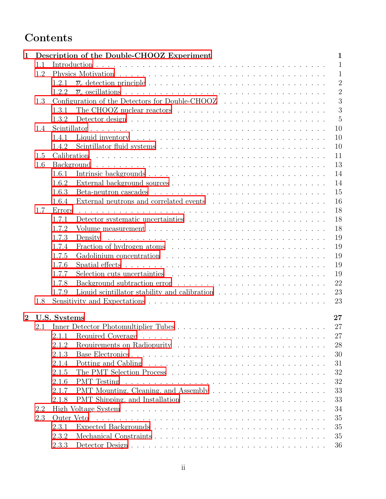## Contents

| $\mathbf 1$    |     | Description of the Double-CHOOZ Experiment<br>$\mathbf 1$                                                                                      |                |
|----------------|-----|------------------------------------------------------------------------------------------------------------------------------------------------|----------------|
|                | 1.1 |                                                                                                                                                | $\mathbf{1}$   |
|                | 1.2 |                                                                                                                                                | $\mathbf{1}$   |
|                |     | 1.2.1                                                                                                                                          | $\overline{2}$ |
|                |     | 1.2.2                                                                                                                                          | $\overline{2}$ |
|                | 1.3 |                                                                                                                                                | 3              |
|                |     | 3<br>1.3.1                                                                                                                                     |                |
|                |     | $\overline{5}$<br>1.3.2                                                                                                                        |                |
|                | 1.4 | 10                                                                                                                                             |                |
|                |     | 10<br>1.4.1                                                                                                                                    |                |
|                |     | 10<br>1.4.2                                                                                                                                    |                |
|                | 1.5 | 11                                                                                                                                             |                |
|                | 1.6 | 13                                                                                                                                             |                |
|                |     | 14<br>1.6.1                                                                                                                                    |                |
|                |     | 14<br>1.6.2                                                                                                                                    |                |
|                |     | 15<br>1.6.3                                                                                                                                    |                |
|                |     | 16<br>1.6.4                                                                                                                                    |                |
|                | 1.7 | 18<br>Errors                                                                                                                                   |                |
|                |     | 18<br>Detector systematic uncertainties $\ldots \ldots \ldots \ldots \ldots \ldots \ldots \ldots \ldots$<br>1.7.1                              |                |
|                |     | 18<br>1.7.2                                                                                                                                    |                |
|                |     | 19<br>.<br>The contract of the contract of the contract of the contract of the contract of the contract of the contract of<br>1.7.3<br>Density |                |
|                |     | 19<br>1.7.4                                                                                                                                    |                |
|                |     | 19<br>1.7.5                                                                                                                                    |                |
|                |     | 19<br>1.7.6                                                                                                                                    |                |
|                |     | 19<br>1.7.7                                                                                                                                    |                |
|                |     | 22<br>1.7.8                                                                                                                                    |                |
|                |     | 23<br>Liquid scintillator stability and calibration $\ldots \ldots \ldots \ldots \ldots \ldots$<br>1.7.9                                       |                |
|                | 1.8 | 23                                                                                                                                             |                |
|                |     |                                                                                                                                                |                |
| $\overline{2}$ |     | U.S. Systems<br>27                                                                                                                             |                |
|                | 2.1 | 27                                                                                                                                             |                |
|                |     | 2.1.1<br>27                                                                                                                                    |                |
|                |     | 28<br>2.1.2                                                                                                                                    |                |
|                |     | 30<br>2.1.3                                                                                                                                    |                |
|                |     | 2.1.4<br>31                                                                                                                                    |                |
|                |     | 32<br>2.1.5                                                                                                                                    |                |
|                |     | 32<br>2.1.6<br><b>PMT</b> Testing                                                                                                              |                |
|                |     | 33<br>2.1.7                                                                                                                                    |                |
|                |     | 33<br>2.1.8                                                                                                                                    |                |
|                | 2.2 | 34                                                                                                                                             |                |
|                | 2.3 | 35<br>Outer Veto                                                                                                                               |                |
|                |     | 35<br>2.3.1                                                                                                                                    |                |
|                |     | 2.3.2<br>35                                                                                                                                    |                |
|                |     | 2.3.3<br>36                                                                                                                                    |                |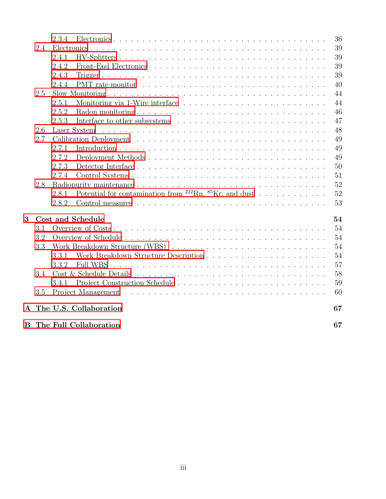|   |     | 2.3.4                                                                                                                                            | 36 |
|---|-----|--------------------------------------------------------------------------------------------------------------------------------------------------|----|
|   | 2.4 |                                                                                                                                                  | 39 |
|   |     | 2.4.1                                                                                                                                            | 39 |
|   |     | 2.4.2                                                                                                                                            | 39 |
|   |     | 2.4.3                                                                                                                                            | 39 |
|   |     | 2.4.4                                                                                                                                            | 40 |
|   | 2.5 |                                                                                                                                                  | 44 |
|   |     | 2.5.1                                                                                                                                            | 44 |
|   |     | 2.5.2                                                                                                                                            | 46 |
|   |     | 2.5.3                                                                                                                                            | 47 |
|   | 2.6 |                                                                                                                                                  | 48 |
|   | 2.7 |                                                                                                                                                  | 49 |
|   |     | 2.7.1                                                                                                                                            | 49 |
|   |     | 2.7.2<br>Deployment Methods                                                                                                                      | 49 |
|   |     | 2.7.3                                                                                                                                            | 50 |
|   |     | 2.7.4                                                                                                                                            | 51 |
|   | 2.8 |                                                                                                                                                  | 52 |
|   |     | Potential for contamination from $^{222}$ Rn, $^{85}$ Kr, and dust<br>2.8.1                                                                      | 52 |
|   |     | 2.8.2                                                                                                                                            | 53 |
| 3 |     | Cost and Schedule                                                                                                                                | 54 |
|   | 3.1 |                                                                                                                                                  | 54 |
|   | 3.2 |                                                                                                                                                  | 54 |
|   | 3.3 |                                                                                                                                                  | 54 |
|   |     | 3.3.1                                                                                                                                            | 54 |
|   |     | <b>Full WBS</b><br>3.3.2<br>.<br>The contract of the contract of the contract of the contract of the contract of the contract of the contract of | 57 |
|   | 3.4 |                                                                                                                                                  | 58 |
|   |     | 3.4.1                                                                                                                                            | 59 |
|   | 3.5 |                                                                                                                                                  | 60 |
|   |     | A The U.S. Collaboration                                                                                                                         | 67 |
|   |     | <b>B</b> The Full Collaboration                                                                                                                  | 67 |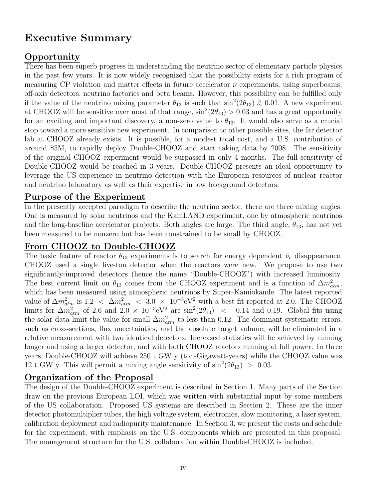## Executive Summary

## Opportunity

There has been superb progress in understanding the neutrino sector of elementary particle physics in the past few years. It is now widely recognized that the possibility exists for a rich program of measuring CP violation and matter effects in future accelerator  $\nu$  experiments, using superbeams, off-axis detectors, neutrino factories and beta beams. However, this possibility can be fulfilled only if the value of the neutrino mixing parameter  $\theta_{13}$  is such that  $\sin^2(2\theta_{13}) \gtrsim 0.01$ . A new experiment at CHOOZ will be sensitive over most of that range,  $\sin^2(2\theta_{13}) > 0.03$  and has a great opportunity for an exciting and important discovery, a non-zero value to  $\theta_{13}$ . It would also serve as a crucial stop toward a more sensitive new experiment. In comparison to other possible sites, the far detector lab at CHOOZ already exists. It is possible, for a modest total cost, and a U.S. contribution of around \$5M, to rapidly deploy Double-CHOOZ and start taking data by 2008. The sensitivity of the original CHOOZ experiment would be surpassed in only 4 months. The full sensitivity of Double-CHOOZ would be reached in 3 years. Double-CHOOZ presents an ideal opportunity to leverage the US experience in neutrino detection with the European resources of nuclear reactor and neutrino laboratory as well as their expertise in low background detectors.

## Purpose of the Experiment

In the presently accepted paradigm to describe the neutrino sector, there are three mixing angles. One is measured by solar neutrinos and the KamLAND experiment, one by atmospheric neutrinos and the long-baseline accelerator projects. Both angles are large. The third angle,  $\theta_{13}$ , has not yet been measured to be nonzero but has been constrained to be small by CHOOZ.

## From CHOOZ to Double-CHOOZ

The basic feature of reactor  $\theta_{13}$  experiments is to search for energy dependent  $\bar{\nu}_e$  disappearance. CHOOZ used a single five-ton detector when the reactors were new. We propose to use two significantly-improved detectors (hence the name "Double-CHOOZ") with increased luminosity. The best current limit on  $\theta_{13}$  comes from the CHOOZ experiment and is a function of  $\Delta m^2_{atm}$ , which has been measured using atmospheric neutrinos by Super-Kamiokande. The latest reported value of  $\Delta m_{atm}^2$  is 1.2 <  $\Delta m_{atm}^2$  < 3.0 × 10<sup>-3</sup>eV<sup>2</sup> with a best fit reported at 2.0. The CHOOZ limits for  $\Delta m_{atm}^2$  of 2.6 and  $2.0 \times 10^{-3}$ eV<sup>2</sup> are sin<sup>2</sup>(2 $\theta_{13}$ ) < 0.14 and 0.19. Global fits using the solar data limit the value for small  $\Delta m_{atm}^2$  to less than 0.12. The dominant systematic errors, such as cross-sections, flux uncertainties, and the absolute target volume, will be eliminated in a relative measurement with two identical detectors. Increased statistics will be achieved by running longer and using a larger detector, and with both CHOOZ reactors running at full power. In three years, Double-CHOOZ will achieve 250 t GW y (ton-Gigawatt-years) while the CHOOZ value was 12 t GW y. This will permit a mixing angle sensitivity of  $\sin^2(2\theta_{13}) > 0.03$ .

## Organization of the Proposal

The design of the Double-CHOOZ experiment is described in Section 1. Many parts of the Section draw on the previous European LOI, which was written with substantial input by some members of the US collaboration. Proposed US systems are described in Section 2. These are the inner detector photomultiplier tubes, the high voltage system, electronics, slow monitoring, a laser system, calibration deployment and radiopurity maintenance. In Section 3, we present the costs and schedule for the experiment, with emphasis on the U.S. components which are presented in this proposal. The management structure for the U.S. collaboration within Double-CHOOZ is included.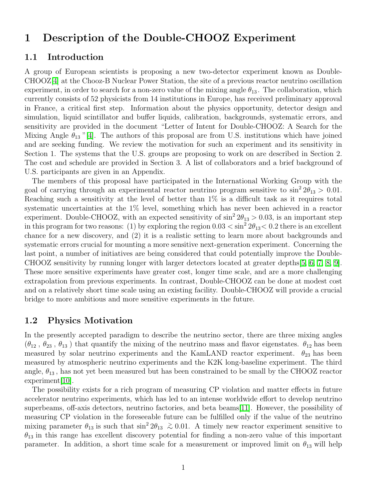## <span id="page-4-1"></span><span id="page-4-0"></span>1 Description of the Double-CHOOZ Experiment

#### 1.1 Introduction

A group of European scientists is proposing a new two-detector experiment known as Double-CHOOZ[\[4\]](#page-67-3) at the Chooz-B Nuclear Power Station, the site of a previous reactor neutrino oscillation experiment, in order to search for a non-zero value of the mixing angle  $\theta_{13}$ . The collaboration, which currently consists of 52 physicists from 14 institutions in Europe, has received preliminary approval in France, a critical first step. Information about the physics opportunity, detector design and simulation, liquid scintillator and buffer liquids, calibration, backgrounds, systematic errors, and sensitivity are provided in the document "Letter of Intent for Double-CHOOZ: A Search for the Mixing Angle  $\theta_{13}$  "[\[4\]](#page-67-3). The authors of this proposal are from U.S. institutions which have joined and are seeking funding. We review the motivation for such an experiment and its sensitivity in Section 1. The systems that the U.S. groups are proposing to work on are described in Section 2. The cost and schedule are provided in Section 3. A list of collaborators and a brief background of U.S. participants are given in an Appendix.

The members of this proposal have participated in the International Working Group with the goal of carrying through an experimental reactor neutrino program sensitive to  $\sin^2 2\theta_{13} > 0.01$ . Reaching such a sensitivity at the level of better than  $1\%$  is a difficult task as it requires total systematic uncertainties at the 1% level, something which has never been achieved in a reactor experiment. Double-CHOOZ, with an expected sensitivity of  $\sin^2 2\theta_{13} > 0.03$ , is an important step in this program for two reasons: (1) by exploring the region  $0.03 < \sin^2 2\theta_{13} < 0.2$  there is an excellent chance for a new discovery, and (2) it is a realistic setting to learn more about backgrounds and systematic errors crucial for mounting a more sensitive next-generation experiment. Concerning the last point, a number of initiatives are being considered that could potentially improve the Double-CHOOZ sensitivity by running longer with larger detectors located at greater depths[\[5,](#page-67-4) [6,](#page-67-5) [7,](#page-67-6) [8,](#page-67-7) [9\]](#page-67-8). These more sensitive experiments have greater cost, longer time scale, and are a more challenging extrapolation from previous experiments. In contrast, Double-CHOOZ can be done at modest cost and on a relatively short time scale using an existing facility. Double-CHOOZ will provide a crucial bridge to more ambitious and more sensitive experiments in the future.

#### <span id="page-4-2"></span>1.2 Physics Motivation

In the presently accepted paradigm to describe the neutrino sector, there are three mixing angles  $(\theta_{12}, \theta_{23}, \theta_{13})$  that quantify the mixing of the neutrino mass and flavor eigenstates.  $\theta_{12}$  has been measured by solar neutrino experiments and the KamLAND reactor experiment.  $\theta_{23}$  has been measured by atmospheric neutrino experiments and the K2K long-baseline experiment. The third angle,  $\theta_{13}$ , has not yet been measured but has been constrained to be small by the CHOOZ reactor experiment[\[10\]](#page-67-9).

The possibility exists for a rich program of measuring CP violation and matter effects in future accelerator neutrino experiments, which has led to an intense worldwide effort to develop neutrino superbeams, off-axis detectors, neutrino factories, and beta beams[\[11\]](#page-67-10). However, the possibility of measuring CP violation in the foreseeable future can be fulfilled only if the value of the neutrino mixing parameter  $\theta_{13}$  is such that  $\sin^2 2\theta_{13} \gtrsim 0.01$ . A timely new reactor experiment sensitive to  $\theta_{13}$  in this range has excellent discovery potential for finding a non-zero value of this important parameter. In addition, a short time scale for a measurement or improved limit on  $\theta_{13}$  will help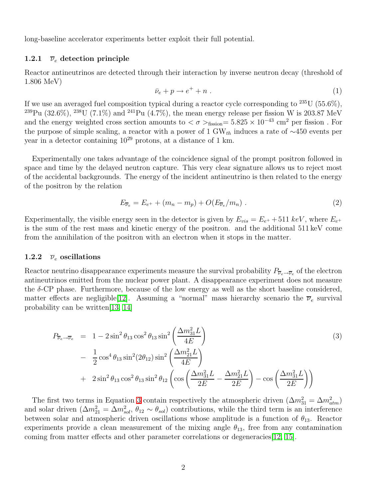<span id="page-5-0"></span>long-baseline accelerator experiments better exploit their full potential.

#### 1.2.1  $\bar{\nu}_e$  detection principle

Reactor antineutrinos are detected through their interaction by inverse neutron decay (threshold of 1.806 MeV)

$$
\bar{\nu}_e + p \to e^+ + n \tag{1}
$$

If we use an averaged fuel composition typical during a reactor cycle corresponding to  $^{235}$ U (55.6%), <sup>239</sup>Pu (32.6%), <sup>238</sup>U (7.1%) and <sup>241</sup>Pu (4.7%), the mean energy release per fission W is 203.87 MeV and the energy weighted cross section amounts to  $\langle \sigma \rangle$ <sub>fission</sub>= 5.825 × 10<sup>-43</sup> cm<sup>2</sup> per fission. For the purpose of simple scaling, a reactor with a power of 1 GW<sub>th</sub> induces a rate of  $\sim$ 450 events per year in a detector containing  $10^{29}$  protons, at a distance of 1 km.

Experimentally one takes advantage of the coincidence signal of the prompt positron followed in space and time by the delayed neutron capture. This very clear signature allows us to reject most of the accidental backgrounds. The energy of the incident antineutrino is then related to the energy of the positron by the relation

$$
E_{\overline{\nu}_e} = E_{e^+} + (m_n - m_p) + O(E_{\overline{\nu}_e}/m_n) \tag{2}
$$

Experimentally, the visible energy seen in the detector is given by  $E_{vis} = E_{e^+} + 511 \; keV$ , where  $E_{e^+}$ is the sum of the rest mass and kinetic energy of the positron. and the additional 511 keV come from the annihilation of the positron with an electron when it stops in the matter.

#### <span id="page-5-1"></span>1.2.2  $\bar{\nu}_e$  oscillations

Reactor neutrino disappearance experiments measure the survival probability  $P_{\overline{\nu}_e \to \overline{\nu}_e}$  of the electron antineutrinos emitted from the nuclear power plant. A disappearance experiment does not measure the  $\delta$ -CP phase. Furthermore, because of the low energy as well as the short baseline considered, matter effects are negligible[\[12\]](#page-67-11). Assuming a "normal" mass hierarchy scenario the  $\overline{\nu}_e$  survival probability can be written[\[13,](#page-67-12) [14\]](#page-67-13)

<span id="page-5-2"></span>
$$
P_{\overline{\nu}_e \to \overline{\nu}_e} = 1 - 2 \sin^2 \theta_{13} \cos^2 \theta_{13} \sin^2 \left(\frac{\Delta m_{31}^2 L}{4E}\right)
$$
  
-  $\frac{1}{2} \cos^4 \theta_{13} \sin^2 (2\theta_{12}) \sin^2 \left(\frac{\Delta m_{21}^2 L}{4E}\right)$   
+  $2 \sin^2 \theta_{13} \cos^2 \theta_{13} \sin^2 \theta_{12} \left(\cos \left(\frac{\Delta m_{31}^2 L}{2E} - \frac{\Delta m_{21}^2 L}{2E}\right) - \cos \left(\frac{\Delta m_{31}^2 L}{2E}\right)\right)$  (3)

The first two terms in Equation [3](#page-5-2) contain respectively the atmospheric driven  $(\Delta m_{31}^2 = \Delta m_{atm}^2)$ and solar driven  $(\Delta m_{21}^2 = \Delta m_{sol}^2, \theta_{12} \sim \theta_{sol})$  contributions, while the third term is an interference between solar and atmospheric driven oscillations whose amplitude is a function of  $\theta_{13}$ . Reactor experiments provide a clean measurement of the mixing angle  $\theta_{13}$ , free from any contamination coming from matter effects and other parameter correlations or degeneracies[\[12,](#page-67-11) [15\]](#page-67-14).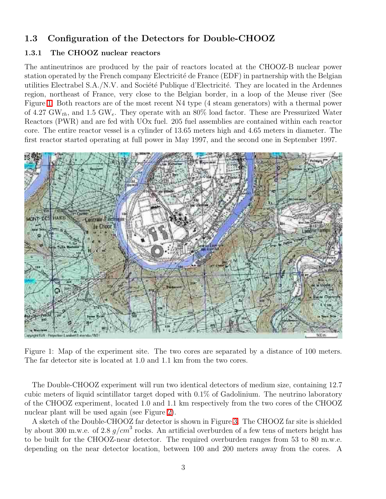## <span id="page-6-1"></span><span id="page-6-0"></span>1.3 Configuration of the Detectors for Double-CHOOZ

#### 1.3.1 The CHOOZ nuclear reactors

The antineutrinos are produced by the pair of reactors located at the CHOOZ-B nuclear power station operated by the French company Electricité de France (EDF) in partnership with the Belgian utilities Electrabel S.A./N.V. and Société Publique d'Electricité. They are located in the Ardennes region, northeast of France, very close to the Belgian border, in a loop of the Meuse river (See Figure [1.](#page-6-2) Both reactors are of the most recent N4 type (4 steam generators) with a thermal power of 4.27 GW<sub>th</sub>, and 1.5 GW<sub>e</sub>. They operate with an 80% load factor. These are Pressurized Water Reactors (PWR) and are fed with UOx fuel. 205 fuel assemblies are contained within each reactor core. The entire reactor vessel is a cylinder of 13.65 meters high and 4.65 meters in diameter. The first reactor started operating at full power in May 1997, and the second one in September 1997.



<span id="page-6-2"></span>Figure 1: Map of the experiment site. The two cores are separated by a distance of 100 meters. The far detector site is located at 1.0 and 1.1 km from the two cores.

The Double-CHOOZ experiment will run two identical detectors of medium size, containing 12.7 cubic meters of liquid scintillator target doped with 0.1% of Gadolinium. The neutrino laboratory of the CHOOZ experiment, located 1.0 and 1.1 km respectively from the two cores of the CHOOZ nuclear plant will be used again (see Figure [2\)](#page-7-0).

A sketch of the Double-CHOOZ far detector is shown in Figure [3.](#page-8-1) The CHOOZ far site is shielded by about 300 m.w.e. of 2.8  $g/cm^3$  rocks. An artificial overburden of a few tens of meters height has to be built for the CHOOZ-near detector. The required overburden ranges from 53 to 80 m.w.e. depending on the near detector location, between 100 and 200 meters away from the cores. A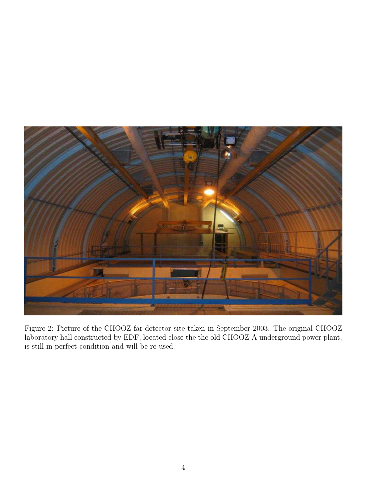<span id="page-7-0"></span>

Figure 2: Picture of the CHOOZ far detector site taken in September 2003. The original CHOOZ laboratory hall constructed by EDF, located close the the old CHOOZ-A underground power plant, is still in perfect condition and will be re-used.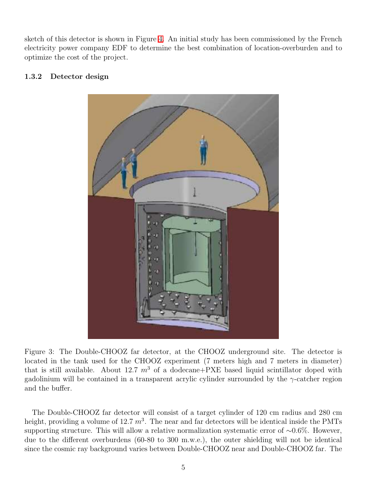sketch of this detector is shown in Figure [4.](#page-10-0) An initial study has been commissioned by the French electricity power company EDF to determine the best combination of location-overburden and to optimize the cost of the project.

#### <span id="page-8-0"></span>1.3.2 Detector design



Figure 3: The Double-CHOOZ far detector, at the CHOOZ underground site. The detector is located in the tank used for the CHOOZ experiment (7 meters high and 7 meters in diameter) that is still available. About 12.7  $m^3$  of a dodecane+PXE based liquid scintillator doped with gadolinium will be contained in a transparent acrylic cylinder surrounded by the  $\gamma$ -catcher region and the buffer.

<span id="page-8-1"></span>The Double-CHOOZ far detector will consist of a target cylinder of 120 cm radius and 280 cm height, providing a volume of 12.7  $m^3$ . The near and far detectors will be identical inside the PMTs supporting structure. This will allow a relative normalization systematic error of ~0.6%. However, due to the different overburdens (60-80 to 300 m.w.e.), the outer shielding will not be identical since the cosmic ray background varies between Double-CHOOZ near and Double-CHOOZ far. The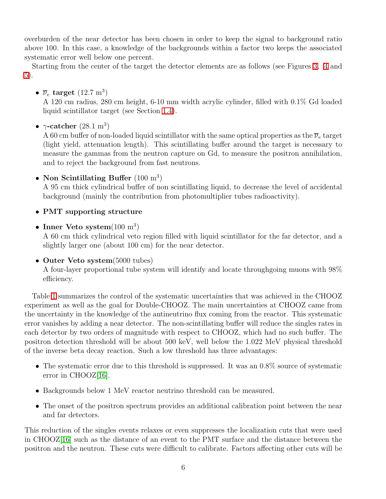overburden of the near detector has been chosen in order to keep the signal to background ratio above 100. In this case, a knowledge of the backgrounds within a factor two keeps the associated systematic error well below one percent.

Starting from the center of the target the detector elements are as follows (see Figures [3,](#page-8-1) [4](#page-10-0) and [5\)](#page-12-0).

•  $\overline{\nu}_e$  target  $(12.7 \text{ m}^3)$ 

A 120 cm radius, 280 cm height, 6-10 mm width acrylic cylinder, filled with 0.1% Gd loaded liquid scintillator target (see Section [1.4\)](#page-13-0).

•  $\gamma$ -catcher (28.1 m<sup>3</sup>)

A 60 cm buffer of non-loaded liquid scintillator with the same optical properties as the  $\overline{\nu}_e$  target (light yield, attenuation length). This scintillating buffer around the target is necessary to measure the gammas from the neutron capture on Gd, to measure the positron annihilation, and to reject the background from fast neutrons.

• Non Scintillating Buffer  $(100 \text{ m}^3)$ 

A 95 cm thick cylindrical buffer of non scintillating liquid, to decrease the level of accidental background (mainly the contribution from photomultiplier tubes radioactivity).

- PMT supporting structure
- Inner Veto system $(100 \text{ m}^3)$

A 60 cm thick cylindrical veto region filled with liquid scintillator for the far detector, and a slightly larger one (about 100 cm) for the near detector.

• Outer Veto system(5000 tubes)

A four-layer proportional tube system will identify and locate throughgoing muons with 98% efficiency.

Table [1](#page-11-0) summarizes the control of the systematic uncertainties that was achieved in the CHOOZ experiment as well as the goal for Double-CHOOZ. The main uncertainties at CHOOZ came from the uncertainty in the knowledge of the antineutrino flux coming from the reactor. This systematic error vanishes by adding a near detector. The non-scintillating buffer will reduce the singles rates in each detector by two orders of magnitude with respect to CHOOZ, which had no such buffer. The positron detection threshold will be about 500 keV, well below the 1.022 MeV physical threshold of the inverse beta decay reaction. Such a low threshold has three advantages:

- The systematic error due to this threshold is suppressed. It was an 0.8% source of systematic error in CHOOZ[\[16\]](#page-67-15).
- Backgrounds below 1 MeV reactor neutrino threshold can be measured.
- The onset of the positron spectrum provides an additional calibration point between the near and far detectors.

This reduction of the singles events relaxes or even suppresses the localization cuts that were used in CHOOZ[\[16\]](#page-67-15) such as the distance of an event to the PMT surface and the distance between the positron and the neutron. These cuts were difficult to calibrate. Factors affecting other cuts will be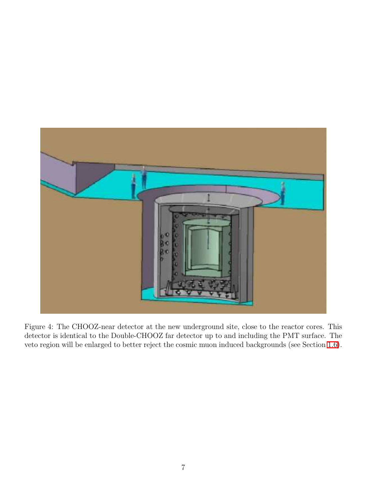

<span id="page-10-0"></span>Figure 4: The CHOOZ-near detector at the new underground site, close to the reactor cores. This detector is identical to the Double-CHOOZ far detector up to and including the PMT surface. The veto region will be enlarged to better reject the cosmic muon induced backgrounds (see Section [1.6\)](#page-16-0).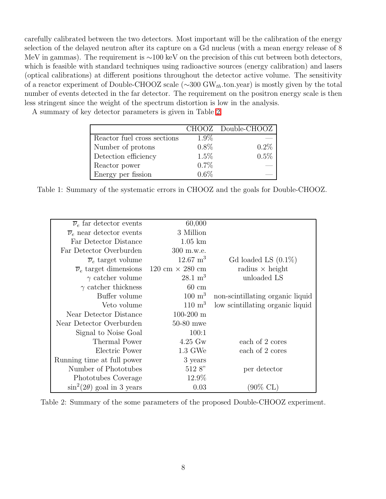carefully calibrated between the two detectors. Most important will be the calibration of the energy selection of the delayed neutron after its capture on a Gd nucleus (with a mean energy release of 8 MeV in gammas). The requirement is ∼100 keV on the precision of this cut between both detectors, which is feasible with standard techniques using radioactive sources (energy calibration) and lasers (optical calibrations) at different positions throughout the detector active volume. The sensitivity of a reactor experiment of Double-CHOOZ scale ( $\sim 300$  GW<sub>th</sub>.ton.year) is mostly given by the total number of events detected in the far detector. The requirement on the positron energy scale is then less stringent since the weight of the spectrum distortion is low in the analysis.

A summary of key detector parameters is given in Table [2.](#page-11-1)

|                             |         | CHOOZ Double-CHOOZ |
|-----------------------------|---------|--------------------|
| Reactor fuel cross sections | $1.9\%$ |                    |
| Number of protons           | $0.8\%$ | $0.2\%$            |
| Detection efficiency        | 1.5%    | 0.5%               |
| Reactor power               | $0.7\%$ |                    |
| Energy per fission          | $0.6\%$ |                    |

<span id="page-11-0"></span>Table 1: Summary of the systematic errors in CHOOZ and the goals for Double-CHOOZ.

|                                  | 60,000                | $\overline{\nu}_e$ far detector events                      |
|----------------------------------|-----------------------|-------------------------------------------------------------|
|                                  | 3 Million             | $\overline{\nu}_e$ near detector events                     |
|                                  | $1.05 \mathrm{km}$    | Far Detector Distance                                       |
|                                  | 300 m.w.e.            | Far Detector Overburden                                     |
| Gd loaded LS $(0.1\%)$           | $12.67~{\rm m}^3$     | $\overline{\nu}_e$ target volume                            |
| radius $\times$ height           |                       | $\overline{\nu}_e$ target dimensions 120 cm $\times$ 280 cm |
| unloaded LS                      | $28.1 \text{ m}^3$    | $\gamma$ catcher volume                                     |
|                                  | $60 \text{ cm}$       | $\gamma$ catcher thickness                                  |
| non-scintillating organic liquid | $100 \; \mathrm{m}^3$ | Buffer volume                                               |
| low scintillating organic liquid | $110 \; \mathrm{m}^3$ | Veto volume                                                 |
|                                  | $100 - 200$ m         | Near Detector Distance                                      |
|                                  | $50-80$ mwe           | Near Detector Overburden                                    |
|                                  | 100:1                 | Signal to Noise Goal                                        |
| each of 2 cores                  | $4.25 \text{ Gw}$     | Thermal Power                                               |
| each of 2 cores                  | $1.3 \text{ GW}e$     | Electric Power                                              |
|                                  | 3 years               | Running time at full power                                  |
| per detector                     | 512 8"                | Number of Phototubes                                        |
|                                  | 12.9%                 | Phototubes Coverage                                         |
| (90% CL)                         | 0.03                  | $\sin^2(2\theta)$ goal in 3 years                           |

<span id="page-11-1"></span>Table 2: Summary of the some parameters of the proposed Double-CHOOZ experiment.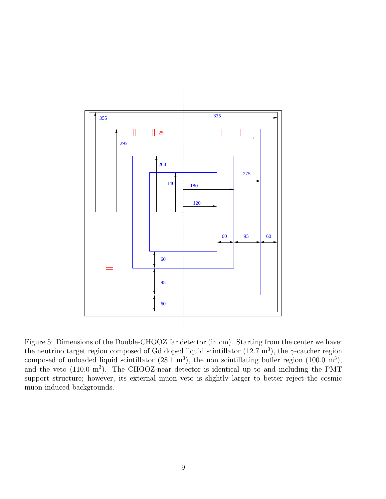

<span id="page-12-0"></span>Figure 5: Dimensions of the Double-CHOOZ far detector (in cm). Starting from the center we have: the neutrino target region composed of Gd doped liquid scintillator  $(12.7 \text{ m}^3)$ , the  $\gamma$ -catcher region composed of unloaded liquid scintillator  $(28.1 \text{ m}^3)$ , the non scintillating buffer region  $(100.0 \text{ m}^3)$ , and the veto  $(110.0 \text{ m}^3)$ . The CHOOZ-near detector is identical up to and including the PMT support structure; however, its external muon veto is slightly larger to better reject the cosmic muon induced backgrounds.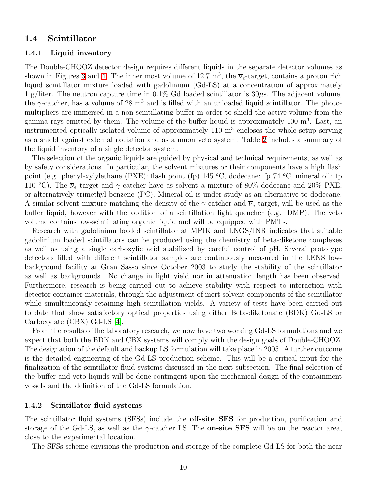#### <span id="page-13-1"></span><span id="page-13-0"></span>1.4 Scintillator

#### 1.4.1 Liquid inventory

The Double-CHOOZ detector design requires different liquids in the separate detector volumes as shown in Figures [3](#page-8-1) and [4.](#page-10-0) The inner most volume of 12.7 m<sup>3</sup>, the  $\overline{\nu}_e$ -target, contains a proton rich liquid scintillator mixture loaded with gadolinium (Gd-LS) at a concentration of approximately 1 g/liter. The neutron capture time in 0.1% Gd loaded scintillator is  $30\mu$ s. The adjacent volume, the  $\gamma$ -catcher, has a volume of 28 m<sup>3</sup> and is filled with an unloaded liquid scintillator. The photomultipliers are immersed in a non-scintillating buffer in order to shield the active volume from the gamma rays emitted by them. The volume of the buffer liquid is approximately 100 m<sup>3</sup>. Last, an instrumented optically isolated volume of approximately 110 m<sup>3</sup> encloses the whole setup serving as a shield against external radiation and as a muon veto system. Table [2](#page-11-1) includes a summary of the liquid inventory of a single detector system.

The selection of the organic liquids are guided by physical and technical requirements, as well as by safety considerations. In particular, the solvent mixtures or their components have a high flash point (e.g. phenyl-xylylethane (PXE): flash point (fp)  $145\text{ °C}$ , dodecane: fp  $74\text{ °C}$ , mineral oil: fp 110 °C). The  $\overline{\nu}_e$ -target and  $\gamma$ -catcher have as solvent a mixture of 80% dodecane and 20% PXE, or alternatively trimethyl-benzene (PC). Mineral oil is under study as an alternative to dodecane. A similar solvent mixture matching the density of the  $\gamma$ -catcher and  $\overline{\nu}_e$ -target, will be used as the buffer liquid, however with the addition of a scintillation light quencher (e.g. DMP). The veto volume contains low-scintillating organic liquid and will be equipped with PMTs.

Research with gadolinium loaded scintillator at MPIK and LNGS/INR indicates that suitable gadolinium loaded scintillators can be produced using the chemistry of beta-diketone complexes as well as using a single carboxylic acid stabilized by careful control of pH. Several prototype detectors filled with different scintillator samples are continuously measured in the LENS lowbackground facility at Gran Sasso since October 2003 to study the stability of the scintillator as well as backgrounds. No change in light yield nor in attenuation length has been observed. Furthermore, research is being carried out to achieve stability with respect to interaction with detector container materials, through the adjustment of inert solvent components of the scintillator while simultaneously retaining high scintillation yields. A variety of tests have been carried out to date that show satisfactory optical properties using either Beta-diketonate (BDK) Gd-LS or Carboxylate (CBX) Gd-LS [\[4\]](#page-67-3).

From the results of the laboratory research, we now have two working Gd-LS formulations and we expect that both the BDK and CBX systems will comply with the design goals of Double-CHOOZ. The designation of the default and backup LS formulation will take place in 2005. A further outcome is the detailed engineering of the Gd-LS production scheme. This will be a critical input for the finalization of the scintillator fluid systems discussed in the next subsection. The final selection of the buffer and veto liquids will be done contingent upon the mechanical design of the containment vessels and the definition of the Gd-LS formulation.

#### <span id="page-13-2"></span>1.4.2 Scintillator fluid systems

The scintillator fluid systems (SFSs) include the **off-site SFS** for production, purification and storage of the Gd-LS, as well as the  $\gamma$ -catcher LS. The **on-site SFS** will be on the reactor area, close to the experimental location.

The SFSs scheme envisions the production and storage of the complete Gd-LS for both the near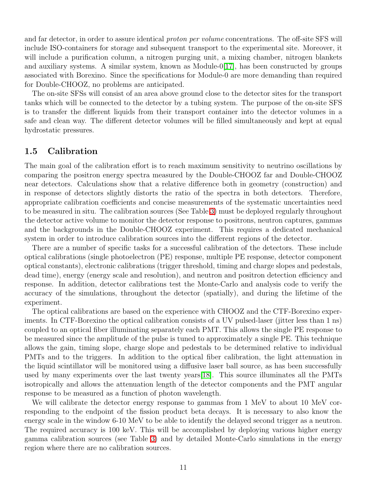and far detector, in order to assure identical *proton per volume* concentrations. The off-site SFS will include ISO-containers for storage and subsequent transport to the experimental site. Moreover, it will include a purification column, a nitrogen purging unit, a mixing chamber, nitrogen blankets and auxiliary systems. A similar system, known as Module-0[\[17\]](#page-67-16), has been constructed by groups associated with Borexino. Since the specifications for Module-0 are more demanding than required for Double-CHOOZ, no problems are anticipated.

The on-site SFSs will consist of an area above ground close to the detector sites for the transport tanks which will be connected to the detector by a tubing system. The purpose of the on-site SFS is to transfer the different liquids from their transport container into the detector volumes in a safe and clean way. The different detector volumes will be filled simultaneously and kept at equal hydrostatic pressures.

#### <span id="page-14-0"></span>1.5 Calibration

The main goal of the calibration effort is to reach maximum sensitivity to neutrino oscillations by comparing the positron energy spectra measured by the Double-CHOOZ far and Double-CHOOZ near detectors. Calculations show that a relative difference both in geometry (construction) and in response of detectors slightly distorts the ratio of the spectra in both detectors. Therefore, appropriate calibration coefficients and concise measurements of the systematic uncertainties need to be measured in situ. The calibration sources (See Table [3\)](#page-15-0) must be deployed regularly throughout the detector active volume to monitor the detector response to positrons, neutron captures, gammas and the backgrounds in the Double-CHOOZ experiment. This requires a dedicated mechanical system in order to introduce calibration sources into the different regions of the detector.

There are a number of specific tasks for a successful calibration of the detectors. These include optical calibrations (single photoelectron (PE) response, multiple PE response, detector component optical constants), electronic calibrations (trigger threshold, timing and charge slopes and pedestals, dead time), energy (energy scale and resolution), and neutron and positron detection efficiency and response. In addition, detector calibrations test the Monte-Carlo and analysis code to verify the accuracy of the simulations, throughout the detector (spatially), and during the lifetime of the experiment.

The optical calibrations are based on the experience with CHOOZ and the CTF-Borexino experiments. In CTF-Borexino the optical calibration consists of a UV pulsed-laser (jitter less than 1 ns) coupled to an optical fiber illuminating separately each PMT. This allows the single PE response to be measured since the amplitude of the pulse is tuned to approximately a single PE. This technique allows the gain, timing slope, charge slope and pedestals to be determined relative to individual PMTs and to the triggers. In addition to the optical fiber calibration, the light attenuation in the liquid scintillator will be monitored using a diffusive laser ball source, as has been successfully used by many experiments over the last twenty years[\[18\]](#page-67-17). This source illuminates all the PMTs isotropically and allows the attenuation length of the detector components and the PMT angular response to be measured as a function of photon wavelength.

We will calibrate the detector energy response to gammas from 1 MeV to about 10 MeV corresponding to the endpoint of the fission product beta decays. It is necessary to also know the energy scale in the window 6-10 MeV to be able to identify the delayed second trigger as a neutron. The required accuracy is 100 keV. This will be accomplished by deploying various higher energy gamma calibration sources (see Table [3\)](#page-15-0) and by detailed Monte-Carlo simulations in the energy region where there are no calibration sources.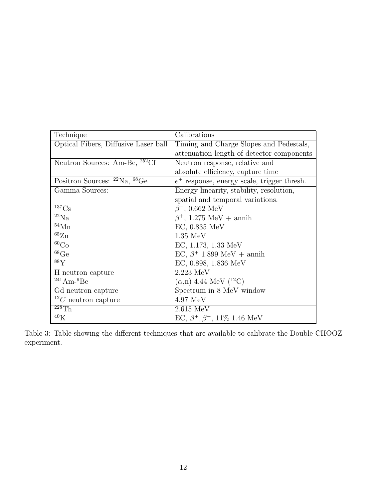| Technique                                                 | Calibrations                                  |
|-----------------------------------------------------------|-----------------------------------------------|
| Optical Fibers, Diffusive Laser ball                      | Timing and Charge Slopes and Pedestals,       |
|                                                           | attenuation length of detector components     |
| Neutron Sources: Am-Be, <sup>252</sup> Cf                 | Neutron response, relative and                |
|                                                           | absolute efficiency, capture time             |
| Positron Sources: ${}^{22}\text{Na}$ , ${}^{68}\text{Ge}$ | $e^+$ response, energy scale, trigger thresh. |
| Gamma Sources:                                            | Energy linearity, stability, resolution,      |
|                                                           | spatial and temporal variations.              |
| $^{137}\mathrm{Cs}$                                       | $\beta^-$ , 0.662 MeV                         |
| ${}^{22}\mathrm{Na}$                                      | $\beta^+$ , 1.275 MeV + annih                 |
| ${}^{54}\mathrm{Mn}$                                      | $EC, 0.835$ MeV                               |
| ${}^{65}\mathrm{Zn}$                                      | $1.35$ MeV                                    |
| ${}^{60}Co$                                               | EC, 1.173, 1.33 MeV                           |
| ${}^{68}\mathrm{Ge}$                                      | EC, $\beta$ <sup>+</sup> 1.899 MeV + annih    |
| 88V                                                       | EC, $0.898$ , $1.836$ MeV                     |
| H neutron capture                                         | $2.223$ MeV                                   |
| $241$ Am- $9$ Be                                          | $(\alpha, n)$ 4.44 MeV $(^{12}C)$             |
| Gd neutron capture                                        | Spectrum in 8 MeV window                      |
| $^{12}C$ neutron capture                                  | $4.97 \text{ MeV}$                            |
| $^{228}Th$                                                | $2.615$ MeV                                   |
| 40 <sub>K</sub>                                           | EC, $\beta^+$ , $\beta^-$ , 11\% 1.46 MeV     |

<span id="page-15-0"></span>Table 3: Table showing the different techniques that are available to calibrate the Double-CHOOZ experiment.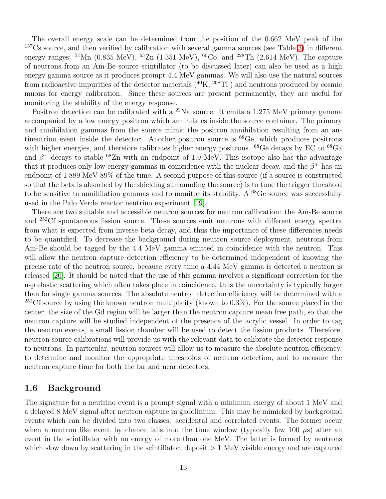The overall energy scale can be determined from the position of the 0.662 MeV peak of the <sup>137</sup>Cs source, and then verified by calibration with several gamma sources (see Table [3\)](#page-15-0) in different energy ranges:  $^{54}$ Mn (0.835 MeV),  $^{65}$ Zn (1.351 MeV),  $^{60}$ Co, and  $^{228}$ Th (2.614 MeV). The capture of neutrons from an Am-Be source scintillator (to be discussed later) can also be used as a high energy gamma source as it produces prompt 4.4 MeV gammas. We will also use the natural sources from radioactive impurities of the detector materials  $(^{40}K, ^{208}Tl$ ) and neutrons produced by cosmic muons for energy calibration. Since these sources are present permanently, they are useful for monitoring the stability of the energy response.

Positron detection can be calibrated with a  $^{22}$ Na source. It emits a 1.275 MeV primary gamma accompanied by a low energy positron which annihilates inside the source container. The primary and annihilation gammas from the source mimic the positron annihilation resulting from an antineutrino event inside the detector. Another positron source is  ${}^{68}$ Ge, which produces positrons with higher energies, and therefore calibrates higher energy positrons. <sup>68</sup>Ge decays by EC to <sup>68</sup>Ga and  $\beta^+$ -decays to stable <sup>68</sup>Zn with an endpoint of 1.9 MeV. This isotope also has the advantage that it produces only low energy gammas in coincidence with the nuclear decay, and the  $\beta^+$  has an endpoint of 1.889 MeV 89% of the time. A second purpose of this source (if a source is constructed so that the beta is absorbed by the shielding surrounding the source) is to tune the trigger threshold to be sensitive to annihilation gammas and to monitor its stability. A  $^{68}$ Ge source was successfully used in the Palo Verde reactor neutrino experiment [\[19\]](#page-67-18).

There are two suitable and accessible neutron sources for neutron calibration: the Am-Be source and <sup>252</sup>Cf spontaneous fission source. These sources emit neutrons with different energy spectra from what is expected from inverse beta decay, and thus the importance of these differences needs to be quantified. To decrease the background during neutron source deployment, neutrons from Am-Be should be tagged by the 4.4 MeV gamma emitted in coincidence with the neutron. This will allow the neutron capture detection efficiency to be determined independent of knowing the precise rate of the neutron source, because every time a 4.44 MeV gamma is detected a neutron is released [\[20\]](#page-67-19). It should be noted that the use of this gamma involves a significant correction for the n-p elastic scattering which often takes place in coincidence, thus the uncertainty is typically larger than for single gamma sources. The absolute neutron detection efficiency will be determined with a  $252C$ f source by using the known neutron multiplicity (known to 0.3%). For the source placed in the center, the size of the Gd region will be larger than the neutron capture mean free path, so that the neutron capture will be studied independent of the presence of the acrylic vessel. In order to tag the neutron events, a small fission chamber will be used to detect the fission products. Therefore, neutron source calibrations will provide us with the relevant data to calibrate the detector response to neutrons. In particular, neutron sources will allow us to measure the absolute neutron efficiency, to determine and monitor the appropriate thresholds of neutron detection, and to measure the neutron capture time for both the far and near detectors.

## <span id="page-16-0"></span>1.6 Background

The signature for a neutrino event is a prompt signal with a minimum energy of about 1 MeV and a delayed 8 MeV signal after neutron capture in gadolinium. This may be mimicked by background events which can be divided into two classes: accidental and correlated events. The former occur when a neutron like event by chance falls into the time window (typically few 100  $\mu$ s) after an event in the scintillator with an energy of more than one MeV. The latter is formed by neutrons which slow down by scattering in the scintillator, deposit  $> 1$  MeV visible energy and are captured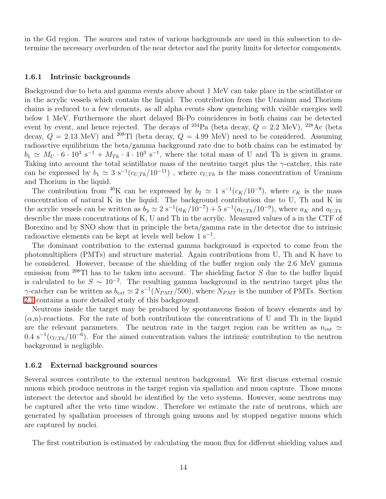in the Gd region. The sources and rates of various backgrounds are used in this subsection to determine the necessary overburden of the near detector and the purity limits for detector components.

#### <span id="page-17-0"></span>1.6.1 Intrinsic backgrounds

Background due to beta and gamma events above about 1 MeV can take place in the scintillator or in the acrylic vessels which contain the liquid. The contribution from the Uranium and Thorium chains is reduced to a few elements, as all alpha events show quenching with visible energies well below 1 MeV. Furthermore the short delayed Bi-Po coincidences in both chains can be detected event by event, and hence rejected. The decays of <sup>234</sup>Pa (beta decay,  $Q = 2.2$  MeV), <sup>228</sup>Ac (beta decay,  $Q = 2.13$  MeV) and <sup>208</sup>Tl (beta decay,  $Q = 4.99$  MeV) need to be considered. Assuming radioactive equilibrium the beta/gamma background rate due to both chains can be estimated by  $b_1 \simeq M_U \cdot 6 \cdot 10^3 \text{ s}^{-1} + M_{Th} \cdot 4 \cdot 10^3 \text{ s}^{-1}$ , where the total mass of U and Th is given in grams. Taking into account the total scintillator mass of the neutrino target plus the  $\gamma$ -catcher, this rate can be expressed by  $b_1 \simeq 3 \text{ s}^{-1} (c_{U,Th}/10^{-11})$ , where  $c_{U,Th}$  is the mass concentration of Uranium and Thorium in the liquid.

The contribution from <sup>40</sup>K can be expressed by  $b_2 \simeq 1 \text{ s}^{-1}(c_K/10^{-9})$ , where  $c_K$  is the mass concentration of natural K in the liquid. The background contribution due to U, Th and K in the acrylic vessels can be written as  $b_3 \simeq 2 \text{ s}^{-1}(a_K/10^{-7}) + 5 \text{ s}^{-1}(a_{U,Th}/10^{-9})$ , where  $a_K$  and  $a_{U,Th}$ describe the mass concentrations of K, U and Th in the acrylic. Measured values of a in the CTF of Borexino and by SNO show that in principle the beta/gamma rate in the detector due to intrinsic radioactive elements can be kept at levels well below  $1 \text{ s}^{-1}$ .

The dominant contribution to the external gamma background is expected to come from the photomultipliers (PMTs) and structure material. Again contributions from U, Th and K have to be considered. However, because of the shielding of the buffer region only the 2.6 MeV gamma emission from  $^{208}$ Tl has to be taken into account. The shielding factor S due to the buffer liquid is calculated to be  $S \sim 10^{-2}$ . The resulting gamma background in the neutrino target plus the  $\gamma$ -catcher can be written as  $b_{ext} \simeq 2 \text{ s}^{-1}(N_{PMT}/500)$ , where  $N_{PMT}$  is the number of PMTs. Section [2.1](#page-30-1) contains a more detailed study of this background.

Neutrons inside the target may be produced by spontaneous fission of heavy elements and by  $(\alpha, n)$ -reactions. For the rate of both contributions the concentrations of U and Th in the liquid are the relevant parameters. The neutron rate in the target region can be written as  $n_{int} \simeq$  $0.4 \text{ s}^{-1}(c_{U,Th}/10^{-6})$ . For the aimed concentration values the intrinsic contribution to the neutron background is negligible.

#### <span id="page-17-1"></span>1.6.2 External background sources

Several sources contribute to the external neutron background. We first discuss external cosmic muons which produce neutrons in the target region via spallation and muon capture. Those muons intersect the detector and should be identified by the veto systems. However, some neutrons may be captured after the veto time window. Therefore we estimate the rate of neutrons, which are generated by spallation processes of through going muons and by stopped negative muons which are captured by nuclei.

The first contribution is estimated by calculating the muon flux for different shielding values and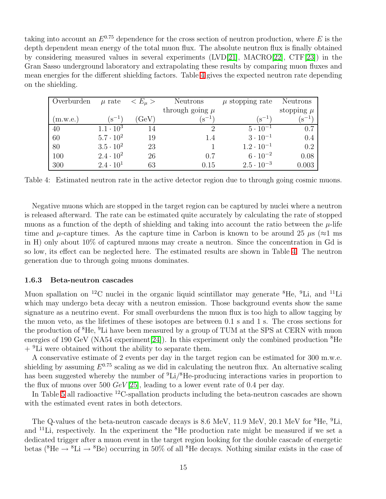taking into account an  $E^{0.75}$  dependence for the cross section of neutron production, where E is the depth dependent mean energy of the total muon flux. The absolute neutron flux is finally obtained by considering measured values in several experiments (LVD[\[21\]](#page-67-20), MACRO[\[22\]](#page-67-21), CTF[\[23\]](#page-67-22)) in the Gran Sasso underground laboratory and extrapolating these results by comparing muon fluxes and mean energies for the different shielding factors. Table [4](#page-18-1) gives the expected neutron rate depending on the shielding.

| Overburden | $\mu$ rate          | $\langle E_\mu \rangle$ | Neutrons            | $\mu$ stopping rate | Neutrons       |
|------------|---------------------|-------------------------|---------------------|---------------------|----------------|
|            |                     |                         | through going $\mu$ |                     | stopping $\mu$ |
| (m.w.e.)   | $(\mathrm{s}^{-1})$ | (GeV)                   | $(s^{-1})$          | $(s^{-1})$          | $(s^{-1})$     |
| 40         | $1.1 \cdot 10^{3}$  | 14                      |                     | $5 \cdot 10^{-1}$   | 0.7            |
| 60         | $5.7 \cdot 10^{2}$  | 19                      | 1.4                 | $3 \cdot 10^{-1}$   | 0.4            |
| 80         | $3.5 \cdot 10^{2}$  | 23                      |                     | $1.2 \cdot 10^{-1}$ | 0.2            |
| 100        | $2.4 \cdot 10^{2}$  | 26                      | 0.7                 | $6 \cdot 10^{-2}$   | 0.08           |
| 300        | $2.4 \cdot 10^{1}$  | 63                      | 0.15                | $2.5 \cdot 10^{-3}$ | 0.003          |

<span id="page-18-1"></span>Table 4: Estimated neutron rate in the active detector region due to through going cosmic muons.

Negative muons which are stopped in the target region can be captured by nuclei where a neutron is released afterward. The rate can be estimated quite accurately by calculating the rate of stopped muons as a function of the depth of shielding and taking into account the ratio between the  $\mu$ -life time and  $\mu$ -capture times. As the capture time in Carbon is known to be around 25  $\mu$ s ( $\approx$ 1 ms) in H) only about 10% of captured muons may create a neutron. Since the concentration in Gd is so low, its effect can be neglected here. The estimated results are shown in Table [4.](#page-18-1) The neutron generation due to through going muons dominates.

#### <span id="page-18-0"></span>1.6.3 Beta-neutron cascades

Muon spallation on <sup>12</sup>C nuclei in the organic liquid scintillator may generate  ${}^{8}$ He,  ${}^{9}$ Li, and  ${}^{11}$ Li which may undergo beta decay with a neutron emission. Those background events show the same signature as a neutrino event. For small overburdens the muon flux is too high to allow tagging by the muon veto, as the lifetimes of these isotopes are between 0.1 s and 1 s. The cross sections for the production of  ${}^{8}$ He,  ${}^{9}$ Li have been measured by a group of TUM at the SPS at CERN with muon energies of 190 GeV (NA54 experiment [\[24\]](#page-67-23)). In this experiment only the combined production  ${}^{8}$ He  $+$  <sup>9</sup>Li were obtained without the ability to separate them.

A conservative estimate of 2 events per day in the target region can be estimated for 300 m.w.e. shielding by assuming  $E^{0.75}$  scaling as we did in calculating the neutron flux. An alternative scaling has been suggested whereby the number of <sup>9</sup>Li/<sup>8</sup>He-producing interactions varies in proportion to the flux of muons over 500  $GeV[25]$  $GeV[25]$ , leading to a lower event rate of 0.4 per day.

In Table [5](#page-19-1) all radioactive  $^{12}$ C-spallation products including the beta-neutron cascades are shown with the estimated event rates in both detectors.

The Q-values of the beta-neutron cascade decays is 8.6 MeV, 11.9 MeV, 20.1 MeV for <sup>8</sup>He, <sup>9</sup>Li, and  ${}^{11}\text{Li}$ , respectively. In the experiment the  ${}^{8}\text{He}$  production rate might be measured if we set a dedicated trigger after a muon event in the target region looking for the double cascade of energetic betas ( ${}^{8}$ He  $\rightarrow {}^{8}$ Li  $\rightarrow {}^{8}$ Be) occurring in 50% of all  ${}^{8}$ He decays. Nothing similar exists in the case of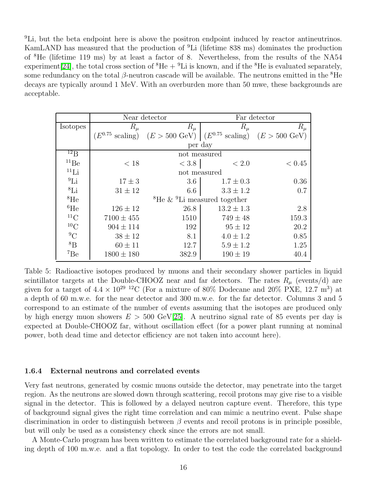<sup>9</sup>Li, but the beta endpoint here is above the positron endpoint induced by reactor antineutrinos. KamLAND has measured that the production of <sup>9</sup>Li (lifetime 838 ms) dominates the production of <sup>8</sup>He (lifetime 119 ms) by at least a factor of 8. Nevertheless, from the results of the NA54 experiment [\[24\]](#page-67-23), the total cross section of  ${}^{8}He + {}^{9}Li$  is known, and if the  ${}^{8}He$  is evaluated separately, some redundancy on the total  $\beta$ -neutron cascade will be available. The neutrons emitted in the <sup>8</sup>He decays are typically around 1 MeV. With an overburden more than 50 mwe, these backgrounds are acceptable.

|                    | Near detector                  |                         | Far detector                                           |                         |
|--------------------|--------------------------------|-------------------------|--------------------------------------------------------|-------------------------|
| <b>Isotopes</b>    | $R_\mu$                        | $R_\mu$                 | $R_\mu$                                                | $R_\mu$                 |
|                    | $^\prime E^{0.75}$<br>scaling) | $(E > 500 \text{ GeV})$ | $(E^{0.75})$<br>scaling)                               | $(E > 500 \text{ GeV})$ |
|                    |                                | per day                 |                                                        |                         |
| $^{12}B$           |                                |                         | not measured                                           |                         |
| ${}^{11}\text{Be}$ | < 18                           | < 3.8                   | < 2.0                                                  | < 0.45                  |
| $^{11}$ Li         |                                |                         | not measured                                           |                         |
| ${}^{9}Li$         | $17 \pm 3$                     | 3.6                     | $1.7 \pm 0.3$                                          | 0.36                    |
| ${}^{8}$ Li        | $31\pm12$                      | 6.6                     | $3.3 \pm 1.2$                                          | 0.7                     |
| ${}^{8}$ He        |                                |                         | <sup>8</sup> He $\&$ <sup>9</sup> Li measured together |                         |
| ${}^{6}$ He        | $126 \pm 12$                   | 26.8                    | $13.2 \pm 1.3$                                         | 2.8                     |
| ${}^{11}C$         | $7100 \pm 455$                 | 1510                    | $749 \pm 48$                                           | 159.3                   |
| ${}^{10}$ C        | $904 \pm 114$                  | 192                     | $95 \pm 12$                                            | 20.2                    |
| ${}^{9}C$          | $38 \pm 12$                    | 8.1                     | $4.0 \pm 1.2$                                          | 0.85                    |
| ${}^{8}B$          | $60 \pm 11$                    | 12.7                    | $5.9 \pm 1.2$                                          | 1.25                    |
| $^7Be$             | $1800 \pm 180$                 | 382.9                   | $190 \pm 19$                                           | 40.4                    |

<span id="page-19-1"></span>Table 5: Radioactive isotopes produced by muons and their secondary shower particles in liquid scintillator targets at the Double-CHOOZ near and far detectors. The rates  $R_{\mu}$  (events/d) are given for a target of  $4.4 \times 10^{29}$  <sup>12</sup>C (For a mixture of 80% Dodecane and 20% PXE, 12.7 m<sup>3</sup>) at a depth of 60 m.w.e. for the near detector and 300 m.w.e. for the far detector. Columns 3 and 5 correspond to an estimate of the number of events assuming that the isotopes are produced only by high energy muon showers  $E > 500$  GeV[\[25\]](#page-68-0). A neutrino signal rate of 85 events per day is expected at Double-CHOOZ far, without oscillation effect (for a power plant running at nominal power, both dead time and detector efficiency are not taken into account here).

#### <span id="page-19-0"></span>1.6.4 External neutrons and correlated events

Very fast neutrons, generated by cosmic muons outside the detector, may penetrate into the target region. As the neutrons are slowed down through scattering, recoil protons may give rise to a visible signal in the detector. This is followed by a delayed neutron capture event. Therefore, this type of background signal gives the right time correlation and can mimic a neutrino event. Pulse shape discrimination in order to distinguish between  $\beta$  events and recoil protons is in principle possible, but will only be used as a consistency check since the errors are not small.

A Monte-Carlo program has been written to estimate the correlated background rate for a shielding depth of 100 m.w.e. and a flat topology. In order to test the code the correlated background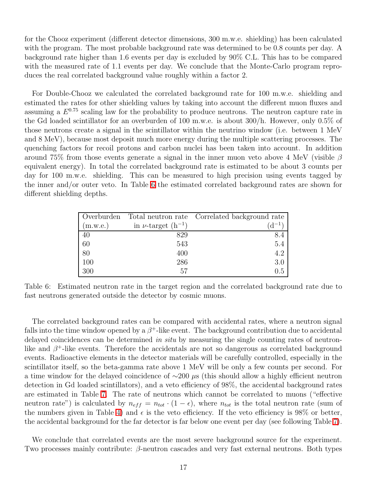for the Chooz experiment (different detector dimensions, 300 m.w.e. shielding) has been calculated with the program. The most probable background rate was determined to be 0.8 counts per day. A background rate higher than 1.6 events per day is excluded by 90% C.L. This has to be compared with the measured rate of 1.1 events per day. We conclude that the Monte-Carlo program reproduces the real correlated background value roughly within a factor 2.

For Double-Chooz we calculated the correlated background rate for 100 m.w.e. shielding and estimated the rates for other shielding values by taking into account the different muon fluxes and assuming a  $E^{0.75}$  scaling law for the probability to produce neutrons. The neutron capture rate in the Gd loaded scintillator for an overburden of 100 m.w.e. is about 300/h. However, only 0.5% of those neutrons create a signal in the scintillator within the neutrino window (i.e. between 1 MeV and 8 MeV), because most deposit much more energy during the multiple scattering processes. The quenching factors for recoil protons and carbon nuclei has been taken into account. In addition around 75% from those events generate a signal in the inner muon veto above 4 MeV (visible  $\beta$ equivalent energy). In total the correlated background rate is estimated to be about 3 counts per day for 100 m.w.e. shielding. This can be measured to high precision using events tagged by the inner and/or outer veto. In Table [6](#page-20-0) the estimated correlated background rates are shown for different shielding depths.

| Overburden |                             | Total neutron rate Correlated background rate |
|------------|-----------------------------|-----------------------------------------------|
| (m.w.e.)   | in $\nu$ -target $(h^{-1})$ | $\rm d^{-1}$                                  |
| 40         | 829                         |                                               |
| 60         | 543                         | 5.4                                           |
| 80         | 400                         | 4.2                                           |
| 100        | 286                         | 3.0                                           |
| 300        | 57                          | 0.5                                           |

<span id="page-20-0"></span>Table 6: Estimated neutron rate in the target region and the correlated background rate due to fast neutrons generated outside the detector by cosmic muons.

The correlated background rates can be compared with accidental rates, where a neutron signal falls into the time window opened by a  $\beta^+$ -like event. The background contribution due to accidental delayed coincidences can be determined in situ by measuring the single counting rates of neutronlike and  $\beta^+$ -like events. Therefore the accidentals are not so dangerous as correlated background events. Radioactive elements in the detector materials will be carefully controlled, especially in the scintillator itself, so the beta-gamma rate above 1 MeV will be only a few counts per second. For a time window for the delayed coincidence of  $\sim$ 200 µs (this should allow a highly efficient neutron detection in Gd loaded scintillators), and a veto efficiency of 98%, the accidental background rates are estimated in Table [7.](#page-21-3) The rate of neutrons which cannot be correlated to muons ("effective neutron rate") is calculated by  $n_{eff} = n_{tot} \cdot (1 - \epsilon)$ , where  $n_{tot}$  is the total neutron rate (sum of the numbers given in Table [4\)](#page-18-1) and  $\epsilon$  is the veto efficiency. If the veto efficiency is 98% or better, the accidental background for the far detector is far below one event per day (see following Table [7\)](#page-21-3).

We conclude that correlated events are the most severe background source for the experiment. Two processes mainly contribute:  $\beta$ -neutron cascades and very fast external neutrons. Both types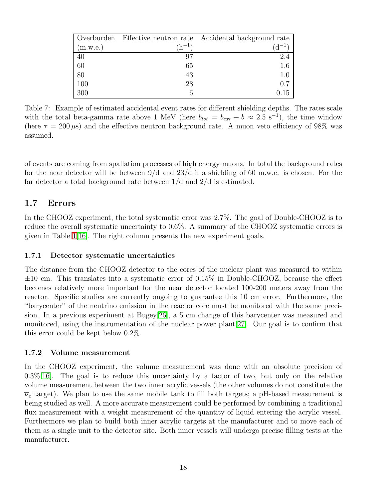|          |                            | Overburden Effective neutron rate Accidental background rate |
|----------|----------------------------|--------------------------------------------------------------|
| (m.w.e.) | $\mathrm{^{\prime}h^{-1}}$ | $\lambda - 1$                                                |
| 40       |                            | 2.4                                                          |
| 60       | 65                         | 1.6                                                          |
| 80       | 43                         | 1.0                                                          |
| 100      | 28                         | 0.7                                                          |
| 300      |                            | 0.15                                                         |

<span id="page-21-3"></span>Table 7: Example of estimated accidental event rates for different shielding depths. The rates scale with the total beta-gamma rate above 1 MeV (here  $b_{tot} = b_{ext} + b \approx 2.5 \text{ s}^{-1}$ ), the time window (here  $\tau = 200 \,\mu s$ ) and the effective neutron background rate. A muon veto efficiency of 98% was assumed.

of events are coming from spallation processes of high energy muons. In total the background rates for the near detector will be between 9/d and 23/d if a shielding of 60 m.w.e. is chosen. For the far detector a total background rate between 1/d and 2/d is estimated.

## <span id="page-21-0"></span>1.7 Errors

In the CHOOZ experiment, the total systematic error was 2.7%. The goal of Double-CHOOZ is to reduce the overall systematic uncertainty to 0.6%. A summary of the CHOOZ systematic errors is given in Table  $1/16$ . The right column presents the new experiment goals.

## <span id="page-21-1"></span>1.7.1 Detector systematic uncertainties

The distance from the CHOOZ detector to the cores of the nuclear plant was measured to within  $\pm 10$  cm. This translates into a systematic error of 0.15% in Double-CHOOZ, because the effect becomes relatively more important for the near detector located 100-200 meters away from the reactor. Specific studies are currently ongoing to guarantee this 10 cm error. Furthermore, the "barycenter" of the neutrino emission in the reactor core must be monitored with the same precision. In a previous experiment at Bugey[\[26\]](#page-68-1), a 5 cm change of this barycenter was measured and monitored, using the instrumentation of the nuclear power plant[\[27\]](#page-68-2). Our goal is to confirm that this error could be kept below 0.2%.

## <span id="page-21-2"></span>1.7.2 Volume measurement

In the CHOOZ experiment, the volume measurement was done with an absolute precision of  $0.3\%$ [\[16\]](#page-67-15). The goal is to reduce this uncertainty by a factor of two, but only on the relative volume measurement between the two inner acrylic vessels (the other volumes do not constitute the  $\overline{\nu}_e$  target). We plan to use the same mobile tank to fill both targets; a pH-based measurement is being studied as well. A more accurate measurement could be performed by combining a traditional flux measurement with a weight measurement of the quantity of liquid entering the acrylic vessel. Furthermore we plan to build both inner acrylic targets at the manufacturer and to move each of them as a single unit to the detector site. Both inner vessels will undergo precise filling tests at the manufacturer.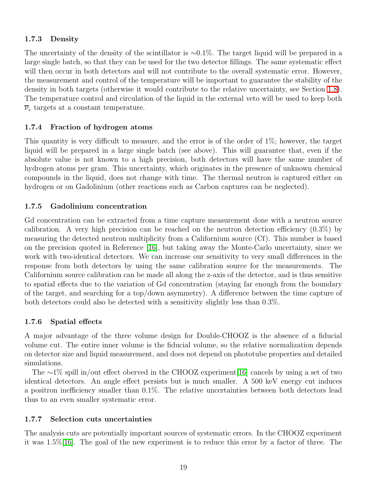### <span id="page-22-0"></span>1.7.3 Density

The uncertainty of the density of the scintillator is  $\sim 0.1\%$ . The target liquid will be prepared in a large single batch, so that they can be used for the two detector fillings. The same systematic effect will then occur in both detectors and will not contribute to the overall systematic error. However, the measurement and control of the temperature will be important to guarantee the stability of the density in both targets (otherwise it would contribute to the relative uncertainty, see Section [1.8\)](#page-26-1). The temperature control and circulation of the liquid in the external veto will be used to keep both  $\overline{\nu}_e$  targets at a constant temperature.

## <span id="page-22-1"></span>1.7.4 Fraction of hydrogen atoms

This quantity is very difficult to measure, and the error is of the order of 1%; however, the target liquid will be prepared in a large single batch (see above). This will guarantee that, even if the absolute value is not known to a high precision, both detectors will have the same number of hydrogen atoms per gram. This uncertainty, which originates in the presence of unknown chemical compounds in the liquid, does not change with time. The thermal neutron is captured either on hydrogen or on Gadolinium (other reactions such as Carbon captures can be neglected).

## <span id="page-22-2"></span>1.7.5 Gadolinium concentration

Gd concentration can be extracted from a time capture measurement done with a neutron source calibration. A very high precision can be reached on the neutron detection efficiency (0.3%) by measuring the detected neutron multiplicity from a Californium source (Cf). This number is based on the precision quoted in Reference [\[16\]](#page-67-15), but taking away the Monte-Carlo uncertainty, since we work with two-identical detectors. We can increase our sensitivity to very small differences in the response from both detectors by using the same calibration source for the measurements. The Californium source calibration can be made all along the z-axis of the detector, and is thus sensitive to spatial effects due to the variation of Gd concentration (staying far enough from the boundary of the target, and searching for a top/down asymmetry). A difference between the time capture of both detectors could also be detected with a sensitivity slightly less than 0.3%.

## <span id="page-22-3"></span>1.7.6 Spatial effects

A major advantage of the three volume design for Double-CHOOZ is the absence of a fiducial volume cut. The entire inner volume is the fiducial volume, so the relative normalization depends on detector size and liquid measurement, and does not depend on phototube properties and detailed simulations.

The  $\sim$ 1% spill in/out effect oberved in the CHOOZ experiment[\[16\]](#page-67-15) cancels by using a set of two identical detectors. An angle effect persists but is much smaller. A 500 keV energy cut induces a positron inefficiency smaller than 0.1%. The relative uncertainties between both detectors lead thus to an even smaller systematic error.

## <span id="page-22-4"></span>1.7.7 Selection cuts uncertainties

The analysis cuts are potentially important sources of systematic errors. In the CHOOZ experiment it was 1.5%[\[16\]](#page-67-15). The goal of the new experiment is to reduce this error by a factor of three. The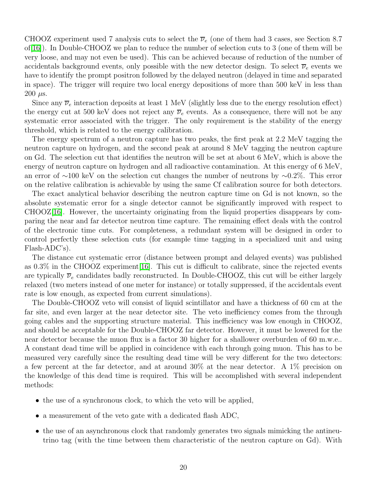CHOOZ experiment used 7 analysis cuts to select the  $\overline{\nu}_e$  (one of them had 3 cases, see Section 8.7) of[\[16\]](#page-67-15)). In Double-CHOOZ we plan to reduce the number of selection cuts to 3 (one of them will be very loose, and may not even be used). This can be achieved because of reduction of the number of accidentals background events, only possible with the new detector design. To select  $\overline{\nu}_e$  events we have to identify the prompt positron followed by the delayed neutron (delayed in time and separated in space). The trigger will require two local energy depositions of more than 500 keV in less than  $200 \mu s$ .

Since any  $\overline{\nu}_e$  interaction deposits at least 1 MeV (slightly less due to the energy resolution effect) the energy cut at 500 keV does not reject any  $\overline{\nu}_e$  events. As a consequence, there will not be any systematic error associated with the trigger. The only requirement is the stability of the energy threshold, which is related to the energy calibration.

The energy spectrum of a neutron capture has two peaks, the first peak at 2.2 MeV tagging the neutron capture on hydrogen, and the second peak at around 8 MeV tagging the neutron capture on Gd. The selection cut that identifies the neutron will be set at about 6 MeV, which is above the energy of neutron capture on hydrogen and all radioactive contamination. At this energy of 6 MeV, an error of ∼100 keV on the selection cut changes the number of neutrons by ∼0.2%. This error on the relative calibration is achievable by using the same Cf calibration source for both detectors.

The exact analytical behavior describing the neutron capture time on Gd is not known, so the absolute systematic error for a single detector cannot be significantly improved with respect to CHOOZ[\[16\]](#page-67-15). However, the uncertainty originating from the liquid properties disappears by comparing the near and far detector neutron time capture. The remaining effect deals with the control of the electronic time cuts. For completeness, a redundant system will be designed in order to control perfectly these selection cuts (for example time tagging in a specialized unit and using Flash-ADC's).

The distance cut systematic error (distance between prompt and delayed events) was published as 0.3% in the CHOOZ experiment[\[16\]](#page-67-15). This cut is difficult to calibrate, since the rejected events are typically  $\overline{\nu}_e$  candidates badly reconstructed. In Double-CHOOZ, this cut will be either largely relaxed (two meters instead of one meter for instance) or totally suppressed, if the accidentals event rate is low enough, as expected from current simulations).

The Double-CHOOZ veto will consist of liquid scintillator and have a thickness of 60 cm at the far site, and even larger at the near detector site. The veto inefficiency comes from the through going cables and the supporting structure material. This inefficiency was low enough in CHOOZ, and should be acceptable for the Double-CHOOZ far detector. However, it must be lowered for the near detector because the muon flux is a factor 30 higher for a shallower overburden of 60 m.w.e.. A constant dead time will be applied in coincidence with each through going muon. This has to be measured very carefully since the resulting dead time will be very different for the two detectors: a few percent at the far detector, and at around 30% at the near detector. A 1% precision on the knowledge of this dead time is required. This will be accomplished with several independent methods:

- the use of a synchronous clock, to which the veto will be applied,
- a measurement of the veto gate with a dedicated flash ADC,
- the use of an asynchronous clock that randomly generates two signals mimicking the antineutrino tag (with the time between them characteristic of the neutron capture on Gd). With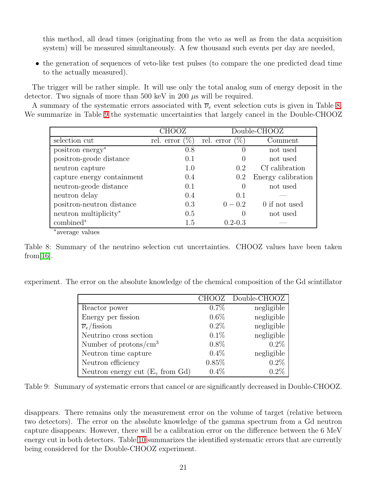this method, all dead times (originating from the veto as well as from the data acquisition system) will be measured simultaneously. A few thousand such events per day are needed,

• the generation of sequences of veto-like test pulses (to compare the one predicted dead time to the actually measured).

The trigger will be rather simple. It will use only the total analog sum of energy deposit in the detector. Two signals of more than 500 keV in 200  $\mu$ s will be required.

A summary of the systematic errors associated with  $\overline{\nu}_e$  event selection cuts is given in Table [8.](#page-24-0) We summarize in Table [9](#page-24-1) the systematic uncertainties that largely cancel in the Double-CHOOZ

|                              | CHOOZ                  |                   | Double-CHOOZ       |
|------------------------------|------------------------|-------------------|--------------------|
| selection cut                | $(\%)$<br>rel. error ( | rel. error $(\%)$ | Comment            |
| positron energy <sup>*</sup> | 0.8                    | $\left( \right)$  | not used           |
| positron-geode distance      | 0.1                    | $\left( \right)$  | not used           |
| neutron capture              | 1.0                    | 0.2               | Cf calibration     |
| capture energy containment   | 0.4                    | $0.2\,$           | Energy calibration |
| neutron-geode distance       | 0.1                    | $\theta$          | not used           |
| neutron delay                | 0.4                    | 0.1               |                    |
| positron-neutron distance    | 0.3                    | $0 - 0.2$         | 0 if not used      |
| neutron multiplicity*        | 0.5                    | $\left( \right)$  | not used           |
| combined*                    | 1.5                    | $0.2 - 0.3$       |                    |
|                              |                        |                   |                    |

∗ average values

<span id="page-24-0"></span>Table 8: Summary of the neutrino selection cut uncertainties. CHOOZ values have been taken from [ $16$ ].

experiment. The error on the absolute knowledge of the chemical composition of the Gd scintillator

|                                                    | <b>CHOOZ</b> | Double-CHOOZ |
|----------------------------------------------------|--------------|--------------|
| Reactor power                                      | 0.7%         | negligible   |
| Energy per fission                                 | $0.6\%$      | negligible   |
| $\overline{\nu}_e$ fission                         | 0.2%         | negligible   |
| Neutrino cross section                             | 0.1%         | negligible   |
| Number of protons/ $\text{cm}^3$                   | $0.8\%$      | $0.2\%$      |
| Neutron time capture                               | 0.4%         | negligible   |
| Neutron efficiency                                 | 0.85%        | 0.2%         |
| Neutron energy cut $(E_{\gamma} \text{ from } Gd)$ | 0.4%         | 0.2%         |

<span id="page-24-1"></span>Table 9: Summary of systematic errors that cancel or are significantly decreased in Double-CHOOZ.

disappears. There remains only the measurement error on the volume of target (relative between two detectors). The error on the absolute knowledge of the gamma spectrum from a Gd neutron capture disappears. However, there will be a calibration error on the difference between the 6 MeV energy cut in both detectors. Table [10](#page-25-1) summarizes the identified systematic errors that are currently being considered for the Double-CHOOZ experiment.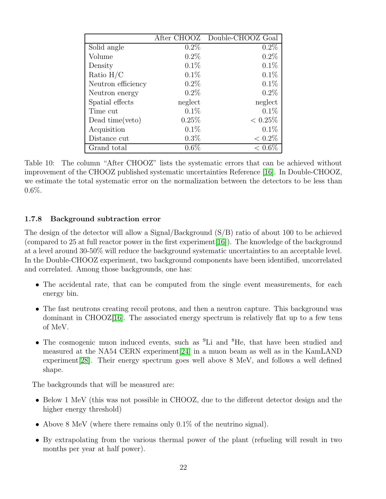|                    | After CHOOZ | Double-CHOOZ Goal |
|--------------------|-------------|-------------------|
| Solid angle        | $0.2\%$     | 0.2%              |
| Volume             | 0.2%        | 0.2%              |
| Density            | 0.1%        | 0.1%              |
| Ratio $H/C$        | 0.1%        | 0.1%              |
| Neutron efficiency | $0.2\%$     | 0.1%              |
| Neutron energy     | $0.2\%$     | 0.2%              |
| Spatial effects    | neglect     | neglect           |
| Time cut           | 0.1%        | 0.1%              |
| Dead time(veto)    | 0.25%       | $< 0.25\%$        |
| Acquisition        | 0.1%        | $0.1\%$           |
| Distance cut       | $0.3\%$     | $< 0.2\%$         |
| Grand total        | $0.6\%$     | $< 0.6\%$         |

<span id="page-25-1"></span>Table 10: The column "After CHOOZ" lists the systematic errors that can be achieved without improvement of the CHOOZ published systematic uncertainties Reference [\[16\]](#page-67-15). In Double-CHOOZ, we estimate the total systematic error on the normalization between the detectors to be less than 0.6%.

## <span id="page-25-0"></span>1.7.8 Background subtraction error

The design of the detector will allow a Signal/Background (S/B) ratio of about 100 to be achieved (compared to 25 at full reactor power in the first experiment[\[16\]](#page-67-15)). The knowledge of the background at a level around 30-50% will reduce the background systematic uncertainties to an acceptable level. In the Double-CHOOZ experiment, two background components have been identified, uncorrelated and correlated. Among those backgrounds, one has:

- The accidental rate, that can be computed from the single event measurements, for each energy bin.
- The fast neutrons creating recoil protons, and then a neutron capture. This background was dominant in  $CHOOZ[16]$  $CHOOZ[16]$ . The associated energy spectrum is relatively flat up to a few tens of MeV.
- The cosmogenic muon induced events, such as <sup>9</sup>Li and <sup>8</sup>He, that have been studied and measured at the NA54 CERN experiment[\[24\]](#page-67-23) in a muon beam as well as in the KamLAND experiment[\[28\]](#page-68-3). Their energy spectrum goes well above 8 MeV, and follows a well defined shape.

The backgrounds that will be measured are:

- Below 1 MeV (this was not possible in CHOOZ, due to the different detector design and the higher energy threshold)
- Above 8 MeV (where there remains only 0.1% of the neutrino signal).
- By extrapolating from the various thermal power of the plant (refueling will result in two months per year at half power).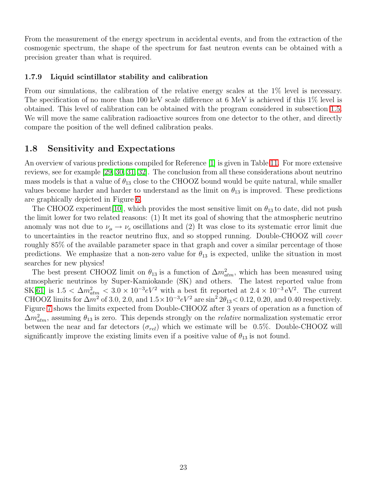From the measurement of the energy spectrum in accidental events, and from the extraction of the cosmogenic spectrum, the shape of the spectrum for fast neutron events can be obtained with a precision greater than what is required.

#### <span id="page-26-0"></span>1.7.9 Liquid scintillator stability and calibration

From our simulations, the calibration of the relative energy scales at the  $1\%$  level is necessary. The specification of no more than 100 keV scale difference at 6 MeV is achieved if this 1% level is obtained. This level of calibration can be obtained with the program considered in subsection [1.5.](#page-14-0) We will move the same calibration radioactive sources from one detector to the other, and directly compare the position of the well defined calibration peaks.

## <span id="page-26-1"></span>1.8 Sensitivity and Expectations

An overview of various predictions compiled for Reference [\[1\]](#page-67-0) is given in Table [11.](#page-28-0) For more extensive reviews, see for example [\[29,](#page-68-4) [30,](#page-68-5) [31,](#page-68-6) [32\]](#page-68-7). The conclusion from all these considerations about neutrino mass models is that a value of  $\theta_{13}$  close to the CHOOZ bound would be quite natural, while smaller values become harder and harder to understand as the limit on  $\theta_{13}$  is improved. These predictions are graphically depicted in Figure [6.](#page-27-0)

The CHOOZ experiment [\[10\]](#page-67-9), which provides the most sensitive limit on  $\theta_{13}$  to date, did not push the limit lower for two related reasons: (1) It met its goal of showing that the atmospheric neutrino anomaly was not due to  $\nu_{\mu} \rightarrow \nu_{e}$  oscillations and (2) It was close to its systematic error limit due to uncertainties in the reactor neutrino flux, and so stopped running. Double-CHOOZ will cover roughly 85% of the available parameter space in that graph and cover a similar percentage of those predictions. We emphasize that a non-zero value for  $\theta_{13}$  is expected, unlike the situation in most searches for new physics!

The best present CHOOZ limit on  $\theta_{13}$  is a function of  $\Delta m^2_{atm}$ , which has been measured using atmospheric neutrinos by Super-Kamiokande (SK) and others. The latest reported value from SK[\[61\]](#page-69-0) is  $1.5 < \Delta m_{atm}^2 < 3.0 \times 10^{-3} eV^2$  with a best fit reported at  $2.4 \times 10^{-3} eV^2$ . The current CHOOZ limits for  $\Delta m^2$  of 3.0, 2.0, and  $1.5 \times 10^{-3} eV^2$  are  $\sin^2 2\theta_{13} < 0.12$ , 0.20, and 0.40 respectively. Figure [7](#page-29-0) shows the limits expected from Double-CHOOZ after 3 years of operation as a function of  $\Delta m_{atm}^2$ , assuming  $\theta_{13}$  is zero. This depends strongly on the *relative* normalization systematic error between the near and far detectors  $(\sigma_{rel})$  which we estimate will be 0.5%. Double-CHOOZ will significantly improve the existing limits even if a positive value of  $\theta_{13}$  is not found.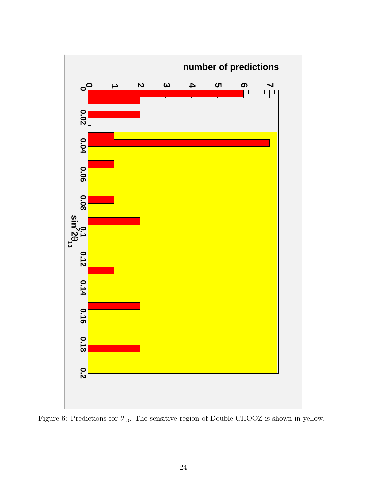

<span id="page-27-0"></span>Figure 6: Predictions for  $\theta_{13}$ . The sensitive region of Double-CHOOZ is shown in yellow.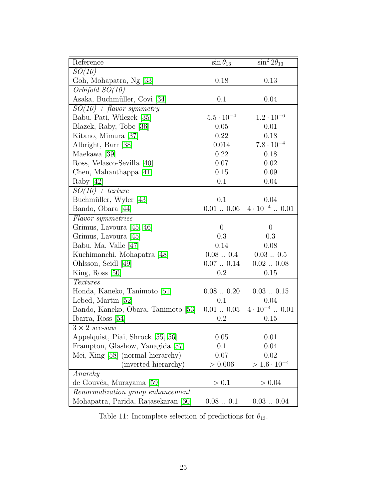| Reference                              | $\sin \theta_{13}$  | $\sin^2 2\theta_{13}$  |
|----------------------------------------|---------------------|------------------------|
| SO(10)                                 |                     |                        |
| Goh, Mohapatra, Ng [33]                | 0.18                | 0.13                   |
| $Orbifold$ $SO(10)$                    |                     |                        |
| Asaka, Buchmüller, Covi [34]           | 0.1                 | 0.04                   |
| $SO(10) + flavor symmetry$             |                     |                        |
| Babu, Pati, Wilczek [35]               | $5.5 \cdot 10^{-4}$ | $1.2 \cdot 10^{-6}$    |
| Blazek, Raby, Tobe [36]                | 0.05                | 0.01                   |
| Kitano, Mimura [37]                    | 0.22                | 0.18                   |
| Albright, Barr [38]                    | 0.014               | $7.8 \cdot 10^{-4}$    |
| Maekawa [39]                           | 0.22                | 0.18                   |
| Ross, Velasco-Sevilla [40]             | 0.07                | 0.02                   |
| Chen, Mahanthappa [41]                 | 0.15                | 0.09                   |
| Raby $[42]$                            | 0.1                 | 0.04                   |
| $SO(10) + texture$                     |                     |                        |
| Buchmüller, Wyler [43]                 | 0.1                 | 0.04                   |
| Bando, Obara [44]                      | $0.01$ $0.06$       | $4 \cdot 10^{-4}$ 0.01 |
| Flavor symmetries                      |                     |                        |
| Grimus, Lavoura [45, 46]               | $\boldsymbol{0}$    | $\overline{0}$         |
| Grimus, Lavoura [45]                   | 0.3                 | 0.3                    |
| Babu, Ma, Valle [47]                   | 0.14                | 0.08                   |
| Kuchimanchi, Mohapatra [48]            | 0.080.4             | $0.03$ $\dots$ $0.5$   |
| Ohlsson, Seidl [49]                    | 0.070.14            | 0.020.08               |
| King, Ross $[50]$                      | 0.2                 | 0.15                   |
| <b>Textures</b>                        |                     |                        |
| Honda, Kaneko, Tanimoto [51]           | 0.080.20            | 0.030.15               |
| Lebed, Martin [52]                     | 0.1                 | 0.04                   |
| Bando, Kaneko, Obara, Tanimoto [53]    | $0.01$ $0.05$       | $4 \cdot 10^{-4}$ 0.01 |
| Ibarra, Ross $[54]$                    | $\rm 0.2$           | 0.15                   |
| $3 \times 2$ see-saw                   |                     |                        |
| Appelquist, Piai, Shrock [55, 56]      | 0.05                | 0.01                   |
| Frampton, Glashow, Yanagida [57]       | 0.1                 | 0.04                   |
| Mei, Xing [58] (normal hierarchy)      | 0.07                | 0.02                   |
| (inverted hierarchy)                   | > 0.006             | $> 1.6 \cdot 10^{-4}$  |
| Anarchy                                |                     |                        |
| de Gouvêa, Murayama [59]               | > 0.1               | > 0.04                 |
| Renormalization group enhancement      |                     |                        |
| Mohapatra, Parida, Rajasekaran<br>[60] | 0.080.1             | 0.030.04               |

<span id="page-28-0"></span>Table 11: Incomplete selection of predictions for  $\theta_{13}.$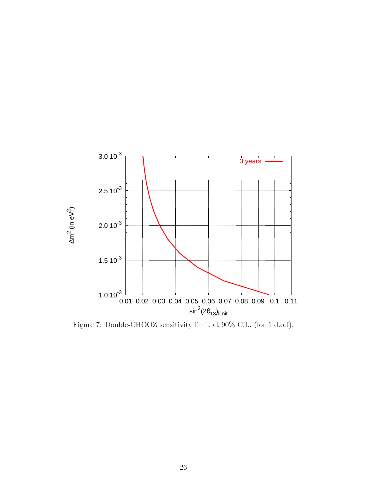

<span id="page-29-0"></span>Figure 7: Double-CHOOZ sensitivity limit at 90% C.L. (for 1 d.o.f).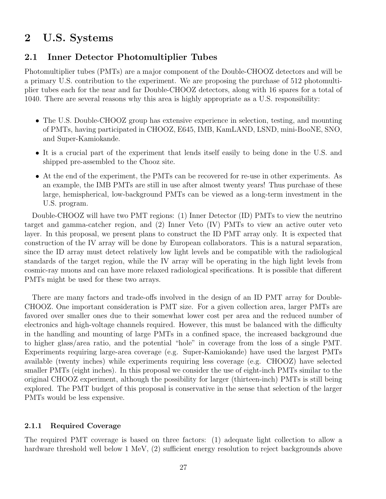## <span id="page-30-1"></span><span id="page-30-0"></span>2 U.S. Systems

## 2.1 Inner Detector Photomultiplier Tubes

Photomultiplier tubes (PMTs) are a major component of the Double-CHOOZ detectors and will be a primary U.S. contribution to the experiment. We are proposing the purchase of 512 photomultiplier tubes each for the near and far Double-CHOOZ detectors, along with 16 spares for a total of 1040. There are several reasons why this area is highly appropriate as a U.S. responsibility:

- The U.S. Double-CHOOZ group has extensive experience in selection, testing, and mounting of PMTs, having participated in CHOOZ, E645, IMB, KamLAND, LSND, mini-BooNE, SNO, and Super-Kamiokande.
- It is a crucial part of the experiment that lends itself easily to being done in the U.S. and shipped pre-assembled to the Chooz site.
- At the end of the experiment, the PMTs can be recovered for re-use in other experiments. As an example, the IMB PMTs are still in use after almost twenty years! Thus purchase of these large, hemispherical, low-background PMTs can be viewed as a long-term investment in the U.S. program.

Double-CHOOZ will have two PMT regions: (1) Inner Detector (ID) PMTs to view the neutrino target and gamma-catcher region, and (2) Inner Veto (IV) PMTs to view an active outer veto layer. In this proposal, we present plans to construct the ID PMT array only. It is expected that construction of the IV array will be done by European collaborators. This is a natural separation, since the ID array must detect relatively low light levels and be compatible with the radiological standards of the target region, while the IV array will be operating in the high light levels from cosmic-ray muons and can have more relaxed radiological specifications. It is possible that different PMTs might be used for these two arrays.

There are many factors and trade-offs involved in the design of an ID PMT array for Double-CHOOZ. One important consideration is PMT size. For a given collection area, larger PMTs are favored over smaller ones due to their somewhat lower cost per area and the reduced number of electronics and high-voltage channels required. However, this must be balanced with the difficulty in the handling and mounting of large PMTs in a confined space, the increased background due to higher glass/area ratio, and the potential "hole" in coverage from the loss of a single PMT. Experiments requiring large-area coverage (e.g. Super-Kamiokande) have used the largest PMTs available (twenty inches) while experiments requiring less coverage (e.g. CHOOZ) have selected smaller PMTs (eight inches). In this proposal we consider the use of eight-inch PMTs similar to the original CHOOZ experiment, although the possibility for larger (thirteen-inch) PMTs is still being explored. The PMT budget of this proposal is conservative in the sense that selection of the larger PMTs would be less expensive.

#### <span id="page-30-2"></span>2.1.1 Required Coverage

The required PMT coverage is based on three factors: (1) adequate light collection to allow a hardware threshold well below 1 MeV, (2) sufficient energy resolution to reject backgrounds above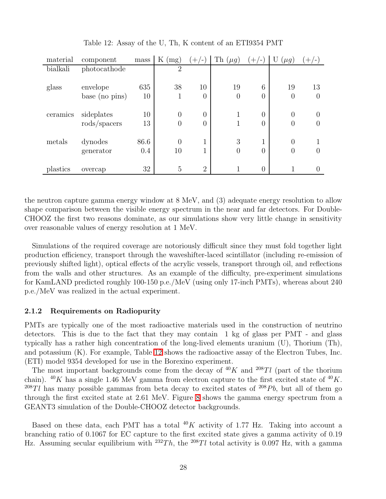| material | component            | mass | $\rm K$<br>(mg) | $(+/-)$        | Th<br>$(\mu g)$ | $(+/-)$           | U<br>$(\mu g)$ | $+(-)$           |
|----------|----------------------|------|-----------------|----------------|-----------------|-------------------|----------------|------------------|
| bialkali | photocathode         |      | $\overline{2}$  |                |                 |                   |                |                  |
|          |                      |      |                 |                |                 |                   |                |                  |
| glass    | envelope             | 635  | 38              | 10             | 19              | 6                 | 19             | 13               |
|          | base (no pins)       | 10   | 1               | $\theta$       | $\theta$        | $\overline{0}$    | $\overline{0}$ | $\theta$         |
|          |                      |      |                 |                |                 |                   |                |                  |
| ceramics | sideplates           | 10   | $\overline{0}$  | $\overline{0}$ | 1               | $\overline{0}$    | $\overline{0}$ | $\left( \right)$ |
|          | $\text{rods/spaces}$ | 13   | $\overline{0}$  | $\theta$       | 1               | $\overline{0}$    | $\theta$       |                  |
|          |                      |      |                 |                |                 |                   |                |                  |
| metals   | dynodes              | 86.6 | $\theta$        | 1              | 3               | 1<br>$\mathbf{I}$ | $\theta$       |                  |
|          | generator            | 0.4  | 10              |                | $\overline{0}$  | $\overline{0}$    | 0              |                  |
|          |                      |      |                 |                |                 |                   |                |                  |
| plastics | overcap              | 32   | 5               | $\overline{2}$ |                 | $\overline{0}$    |                |                  |

<span id="page-31-1"></span>Table 12: Assay of the U, Th, K content of an ETI9354 PMT

the neutron capture gamma energy window at 8 MeV, and (3) adequate energy resolution to allow shape comparison between the visible energy spectrum in the near and far detectors. For Double-CHOOZ the first two reasons dominate, as our simulations show very little change in sensitivity over reasonable values of energy resolution at 1 MeV.

Simulations of the required coverage are notoriously difficult since they must fold together light production efficiency, transport through the waveshifter-laced scintillator (including re-emission of previously shifted light), optical effects of the acrylic vessels, transport through oil, and reflections from the walls and other structures. As an example of the difficulty, pre-experiment simulations for KamLAND predicted roughly 100-150 p.e./MeV (using only 17-inch PMTs), whereas about 240 p.e./MeV was realized in the actual experiment.

#### <span id="page-31-0"></span>2.1.2 Requirements on Radiopurity

PMTs are typically one of the most radioactive materials used in the construction of neutrino detectors. This is due to the fact that they may contain 1 kg of glass per PMT - and glass typically has a rather high concentration of the long-lived elements uranium (U), Thorium (Th), and potassium (K). For example, Table [12](#page-31-1) shows the radioactive assay of the Electron Tubes, Inc. (ETI) model 9354 developed for use in the Borexino experiment.

The most important backgrounds come from the decay of  $40K$  and  $208Tl$  (part of the thorium chain). <sup>40</sup>K has a single 1.46 MeV gamma from electron capture to the first excited state of  $^{40}K$ . <sup>208</sup>Tl has many possible gammas from beta decay to excited states of <sup>208</sup>Pb, but all of them go through the first excited state at 2.61 MeV. Figure [8](#page-32-0) shows the gamma energy spectrum from a GEANT3 simulation of the Double-CHOOZ detector backgrounds.

Based on these data, each PMT has a total  $^{40}K$  activity of 1.77 Hz. Taking into account a branching ratio of 0.1067 for EC capture to the first excited state gives a gamma activity of 0.19 Hz. Assuming secular equilibrium with  $^{232}Th$ , the  $^{208}Tl$  total activity is 0.097 Hz, with a gamma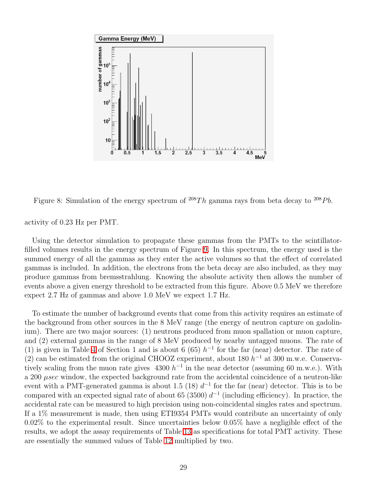

<span id="page-32-0"></span>Figure 8: Simulation of the energy spectrum of  $^{208}Th$  gamma rays from beta decay to  $^{208}Pb$ .

activity of 0.23 Hz per PMT.

Using the detector simulation to propagate these gammas from the PMTs to the scintillatorfilled volumes results in the energy spectrum of Figure [9.](#page-33-1) In this spectrum, the energy used is the summed energy of all the gammas as they enter the active volumes so that the effect of correlated gammas is included. In addition, the electrons from the beta decay are also included, as they may produce gammas from bremsstrahlung. Knowing the absolute activity then allows the number of events above a given energy threshold to be extracted from this figure. Above 0.5 MeV we therefore expect 2.7 Hz of gammas and above 1.0 MeV we expect 1.7 Hz.

To estimate the number of background events that come from this activity requires an estimate of the background from other sources in the 8 MeV range (the energy of neutron capture on gadolinium). There are two major sources: (1) neutrons produced from muon spallation or muon capture, and (2) external gammas in the range of 8 MeV produced by nearby untagged muons. The rate of (1) is given in Table [4](#page-18-1) of Section 1 and is about 6 (65)  $h^{-1}$  for the far (near) detector. The rate of (2) can be estimated from the original CHOOZ experiment, about 180  $h^{-1}$  at 300 m.w.e. Conservatively scaling from the muon rate gives  $4300 h^{-1}$  in the near detector (assuming 60 m.w.e.). With a 200  $\mu$ sec window, the expected background rate from the accidental coincidence of a neutron-like event with a PMT-generated gamma is about 1.5 (18)  $d^{-1}$  for the far (near) detector. This is to be compared with an expected signal rate of about 65 (3500)  $d^{-1}$  (including efficiency). In practice, the accidental rate can be measured to high precision using non-coincidental singles rates and spectrum. If a 1% measurement is made, then using ETI9354 PMTs would contribute an uncertainty of only 0.02% to the experimental result. Since uncertainties below 0.05% have a negligible effect of the results, we adopt the assay requirements of Table [13](#page-33-2) as specifications for total PMT activity. These are essentially the summed values of Table [12](#page-31-1) multiplied by two.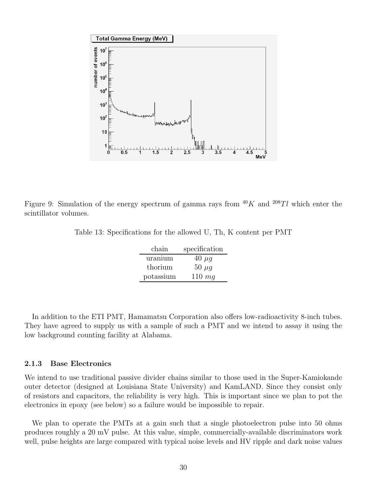

<span id="page-33-1"></span>Figure 9: Simulation of the energy spectrum of gamma rays from  $^{40}K$  and  $^{208}Tl$  which enter the scintillator volumes.

<span id="page-33-2"></span>

| Table 13: Specifications for the allowed U, Th, K content per PMT |  |  |  |  |  |  |  |  |
|-------------------------------------------------------------------|--|--|--|--|--|--|--|--|
|-------------------------------------------------------------------|--|--|--|--|--|--|--|--|

| chain     | specification |
|-----------|---------------|
| uranium   | $40 \mu g$    |
| thorium   | 50 $\mu$ g    |
| potassium | $110 \; mq$   |

In addition to the ETI PMT, Hamamatsu Corporation also offers low-radioactivity 8-inch tubes. They have agreed to supply us with a sample of such a PMT and we intend to assay it using the low background counting facility at Alabama.

#### <span id="page-33-0"></span>2.1.3 Base Electronics

We intend to use traditional passive divider chains similar to those used in the Super-Kamiokande outer detector (designed at Louisiana State University) and KamLAND. Since they consist only of resistors and capacitors, the reliability is very high. This is important since we plan to pot the electronics in epoxy (see below) so a failure would be impossible to repair.

We plan to operate the PMTs at a gain such that a single photoelectron pulse into 50 ohms produces roughly a 20 mV pulse. At this value, simple, commercially-available discriminators work well, pulse heights are large compared with typical noise levels and HV ripple and dark noise values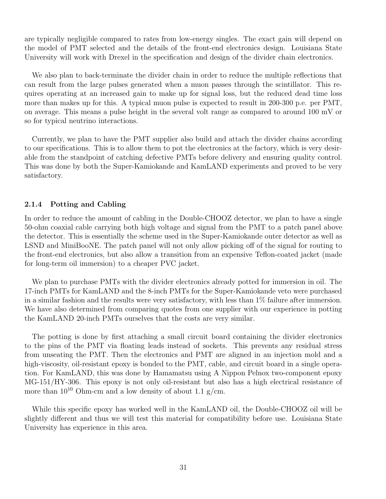are typically negligible compared to rates from low-energy singles. The exact gain will depend on the model of PMT selected and the details of the front-end electronics design. Louisiana State University will work with Drexel in the specification and design of the divider chain electronics.

We also plan to back-terminate the divider chain in order to reduce the multiple reflections that can result from the large pulses generated when a muon passes through the scintillator. This requires operating at an increased gain to make up for signal loss, but the reduced dead time loss more than makes up for this. A typical muon pulse is expected to result in 200-300 p.e. per PMT, on average. This means a pulse height in the several volt range as compared to around 100 mV or so for typical neutrino interactions.

Currently, we plan to have the PMT supplier also build and attach the divider chains according to our specifications. This is to allow them to pot the electronics at the factory, which is very desirable from the standpoint of catching defective PMTs before delivery and ensuring quality control. This was done by both the Super-Kamiokande and KamLAND experiments and proved to be very satisfactory.

#### <span id="page-34-0"></span>2.1.4 Potting and Cabling

In order to reduce the amount of cabling in the Double-CHOOZ detector, we plan to have a single 50-ohm coaxial cable carrying both high voltage and signal from the PMT to a patch panel above the detector. This is essentially the scheme used in the Super-Kamiokande outer detector as well as LSND and MiniBooNE. The patch panel will not only allow picking off of the signal for routing to the front-end electronics, but also allow a transition from an expensive Teflon-coated jacket (made for long-term oil immersion) to a cheaper PVC jacket.

We plan to purchase PMTs with the divider electronics already potted for immersion in oil. The 17-inch PMTs for KamLAND and the 8-inch PMTs for the Super-Kamiokande veto were purchased in a similar fashion and the results were very satisfactory, with less than 1% failure after immersion. We have also determined from comparing quotes from one supplier with our experience in potting the KamLAND 20-inch PMTs ourselves that the costs are very similar.

The potting is done by first attaching a small circuit board containing the divider electronics to the pins of the PMT via floating leads instead of sockets. This prevents any residual stress from unseating the PMT. Then the electronics and PMT are aligned in an injection mold and a high-viscosity, oil-resistant epoxy is bonded to the PMT, cable, and circuit board in a single operation. For KamLAND, this was done by Hamamatsu using A Nippon Pelnox two-component epoxy MG-151/HY-306. This epoxy is not only oil-resistant but also has a high electrical resistance of more than  $10^{10}$  Ohm-cm and a low density of about 1.1 g/cm.

While this specific epoxy has worked well in the KamLAND oil, the Double-CHOOZ oil will be slightly different and thus we will test this material for compatibility before use. Louisiana State University has experience in this area.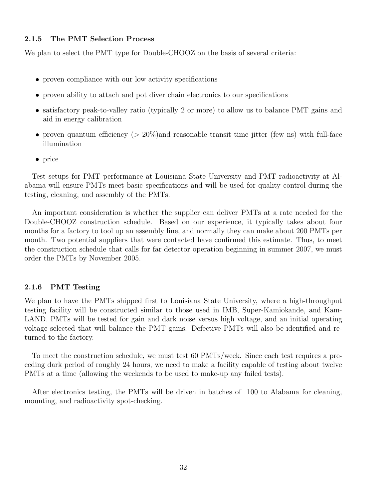#### <span id="page-35-0"></span>2.1.5 The PMT Selection Process

We plan to select the PMT type for Double-CHOOZ on the basis of several criteria:

- proven compliance with our low activity specifications
- proven ability to attach and pot diver chain electronics to our specifications
- satisfactory peak-to-valley ratio (typically 2 or more) to allow us to balance PMT gains and aid in energy calibration
- proven quantum efficiency  $(> 20\%)$  and reasonable transit time jitter (few ns) with full-face illumination
- price

Test setups for PMT performance at Louisiana State University and PMT radioactivity at Alabama will ensure PMTs meet basic specifications and will be used for quality control during the testing, cleaning, and assembly of the PMTs.

An important consideration is whether the supplier can deliver PMTs at a rate needed for the Double-CHOOZ construction schedule. Based on our experience, it typically takes about four months for a factory to tool up an assembly line, and normally they can make about 200 PMTs per month. Two potential suppliers that were contacted have confirmed this estimate. Thus, to meet the construction schedule that calls for far detector operation beginning in summer 2007, we must order the PMTs by November 2005.

#### <span id="page-35-1"></span>2.1.6 PMT Testing

We plan to have the PMTs shipped first to Louisiana State University, where a high-throughput testing facility will be constructed similar to those used in IMB, Super-Kamiokande, and Kam-LAND. PMTs will be tested for gain and dark noise versus high voltage, and an initial operating voltage selected that will balance the PMT gains. Defective PMTs will also be identified and returned to the factory.

To meet the construction schedule, we must test 60 PMTs/week. Since each test requires a preceding dark period of roughly 24 hours, we need to make a facility capable of testing about twelve PMTs at a time (allowing the weekends to be used to make-up any failed tests).

After electronics testing, the PMTs will be driven in batches of 100 to Alabama for cleaning, mounting, and radioactivity spot-checking.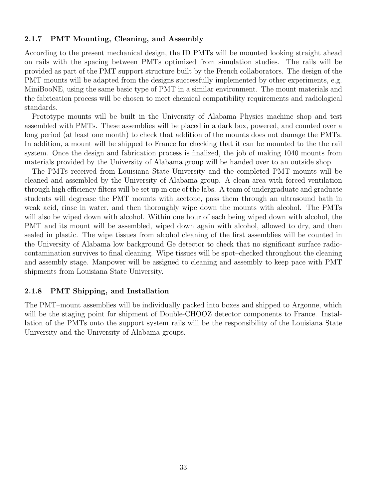#### 2.1.7 PMT Mounting, Cleaning, and Assembly

According to the present mechanical design, the ID PMTs will be mounted looking straight ahead on rails with the spacing between PMTs optimized from simulation studies. The rails will be provided as part of the PMT support structure built by the French collaborators. The design of the PMT mounts will be adapted from the designs successfully implemented by other experiments, e.g. MiniBooNE, using the same basic type of PMT in a similar environment. The mount materials and the fabrication process will be chosen to meet chemical compatibility requirements and radiological standards.

Prototype mounts will be built in the University of Alabama Physics machine shop and test assembled with PMTs. These assemblies will be placed in a dark box, powered, and counted over a long period (at least one month) to check that addition of the mounts does not damage the PMTs. In addition, a mount will be shipped to France for checking that it can be mounted to the the rail system. Once the design and fabrication process is finalized, the job of making 1040 mounts from materials provided by the University of Alabama group will be handed over to an outside shop.

The PMTs received from Louisiana State University and the completed PMT mounts will be cleaned and assembled by the University of Alabama group. A clean area with forced ventilation through high efficiency filters will be set up in one of the labs. A team of undergraduate and graduate students will degrease the PMT mounts with acetone, pass them through an ultrasound bath in weak acid, rinse in water, and then thoroughly wipe down the mounts with alcohol. The PMTs will also be wiped down with alcohol. Within one hour of each being wiped down with alcohol, the PMT and its mount will be assembled, wiped down again with alcohol, allowed to dry, and then sealed in plastic. The wipe tissues from alcohol cleaning of the first assemblies will be counted in the University of Alabama low background Ge detector to check that no significant surface radiocontamination survives to final cleaning. Wipe tissues will be spot–checked throughout the cleaning and assembly stage. Manpower will be assigned to cleaning and assembly to keep pace with PMT shipments from Louisiana State University.

#### 2.1.8 PMT Shipping, and Installation

The PMT–mount assemblies will be individually packed into boxes and shipped to Argonne, which will be the staging point for shipment of Double-CHOOZ detector components to France. Installation of the PMTs onto the support system rails will be the responsibility of the Louisiana State University and the University of Alabama groups.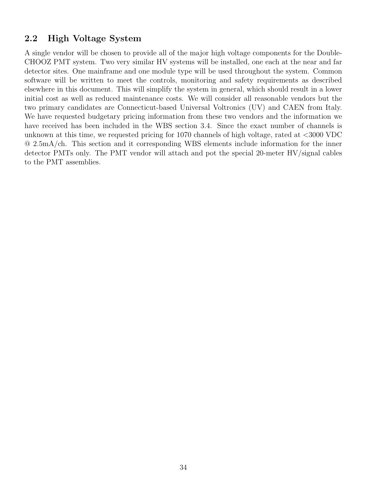## 2.2 High Voltage System

A single vendor will be chosen to provide all of the major high voltage components for the Double-CHOOZ PMT system. Two very similar HV systems will be installed, one each at the near and far detector sites. One mainframe and one module type will be used throughout the system. Common software will be written to meet the controls, monitoring and safety requirements as described elsewhere in this document. This will simplify the system in general, which should result in a lower initial cost as well as reduced maintenance costs. We will consider all reasonable vendors but the two primary candidates are Connecticut-based Universal Voltronics (UV) and CAEN from Italy. We have requested budgetary pricing information from these two vendors and the information we have received has been included in the WBS section 3.4. Since the exact number of channels is unknown at this time, we requested pricing for 1070 channels of high voltage, rated at <3000 VDC @ 2.5mA/ch. This section and it corresponding WBS elements include information for the inner detector PMTs only. The PMT vendor will attach and pot the special 20-meter HV/signal cables to the PMT assemblies.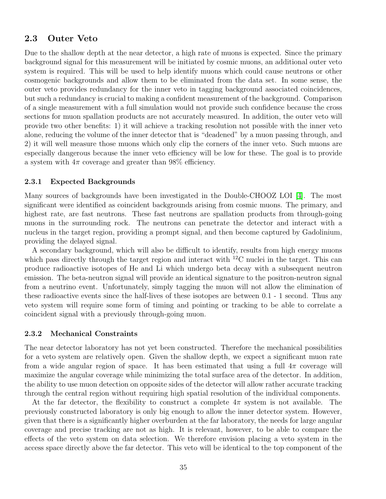## 2.3 Outer Veto

Due to the shallow depth at the near detector, a high rate of muons is expected. Since the primary background signal for this measurement will be initiated by cosmic muons, an additional outer veto system is required. This will be used to help identify muons which could cause neutrons or other cosmogenic backgrounds and allow them to be eliminated from the data set. In some sense, the outer veto provides redundancy for the inner veto in tagging background associated coincidences, but such a redundancy is crucial to making a confident measurement of the background. Comparison of a single measurement with a full simulation would not provide such confidence because the cross sections for muon spallation products are not accurately measured. In addition, the outer veto will provide two other benefits: 1) it will achieve a tracking resolution not possible with the inner veto alone, reducing the volume of the inner detector that is "deadened" by a muon passing through, and 2) it will well measure those muons which only clip the corners of the inner veto. Such muons are especially dangerous because the inner veto efficiency will be low for these. The goal is to provide a system with  $4\pi$  coverage and greater than 98% efficiency.

#### 2.3.1 Expected Backgrounds

Many sources of backgrounds have been investigated in the Double-CHOOZ LOI [\[4\]](#page-67-0). The most significant were identified as coincident backgrounds arising from cosmic muons. The primary, and highest rate, are fast neutrons. These fast neutrons are spallation products from through-going muons in the surrounding rock. The neutrons can penetrate the detector and interact with a nucleus in the target region, providing a prompt signal, and then become captured by Gadolinium, providing the delayed signal.

A secondary background, which will also be difficult to identify, results from high energy muons which pass directly through the target region and interact with  ${}^{12}$ C nuclei in the target. This can produce radioactive isotopes of He and Li which undergo beta decay with a subsequent neutron emission. The beta-neutron signal will provide an identical signature to the positron-neutron signal from a neutrino event. Unfortunately, simply tagging the muon will not allow the elimination of these radioactive events since the half-lives of these isotopes are between 0.1 - 1 second. Thus any veto system will require some form of timing and pointing or tracking to be able to correlate a coincident signal with a previously through-going muon.

#### 2.3.2 Mechanical Constraints

The near detector laboratory has not yet been constructed. Therefore the mechanical possibilities for a veto system are relatively open. Given the shallow depth, we expect a significant muon rate from a wide angular region of space. It has been estimated that using a full  $4\pi$  coverage will maximize the angular coverage while minimizing the total surface area of the detector. In addition, the ability to use muon detection on opposite sides of the detector will allow rather accurate tracking through the central region without requiring high spatial resolution of the individual components.

At the far detector, the flexibility to construct a complete  $4\pi$  system is not available. The previously constructed laboratory is only big enough to allow the inner detector system. However, given that there is a significantly higher overburden at the far laboratory, the needs for large angular coverage and precise tracking are not as high. It is relevant, however, to be able to compare the effects of the veto system on data selection. We therefore envision placing a veto system in the access space directly above the far detector. This veto will be identical to the top component of the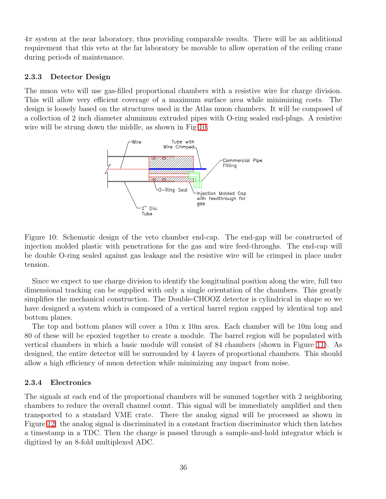$4\pi$  system at the near laboratory, thus providing comparable results. There will be an additional requirement that this veto at the far laboratory be movable to allow operation of the ceiling crane during periods of maintenance.

### 2.3.3 Detector Design

The muon veto will use gas-filled proportional chambers with a resistive wire for charge division. This will allow very efficient coverage of a maximum surface area while minimizing costs. The design is loosely based on the structures used in the Atlas muon chambers. It will be composed of a collection of 2 inch diameter aluminum extruded pipes with O-ring sealed end-plugs. A resistive wire will be strung down the middle, as shown in Fig [10.](#page-39-0)



<span id="page-39-0"></span>Figure 10: Schematic design of the veto chamber end-cap. The end-gap will be constructed of injection molded plastic with penetrations for the gas and wire feed-throughs. The end-cap will be double O-ring sealed against gas leakage and the resistive wire will be crimped in place under tension.

Since we expect to use charge division to identify the longitudinal position along the wire, full two dimensional tracking can be supplied with only a single orientation of the chambers. This greatly simplifies the mechanical construction. The Double-CHOOZ detector is cylindrical in shape so we have designed a system which is composed of a vertical barrel region capped by identical top and bottom planes.

The top and bottom planes will cover a 10m x 10m area. Each chamber will be 10m long and 80 of these will be epoxied together to create a module. The barrel region will be populated with vertical chambers in which a basic module will consist of 84 chambers (shown in Figure [11\)](#page-40-0). As designed, the entire detector will be surrounded by 4 layers of proportional chambers. This should allow a high efficiency of muon detection while minimizing any impact from noise.

## 2.3.4 Electronics

The signals at each end of the proportional chambers will be summed together with 2 neighboring chambers to reduce the overall channel count. This signal will be immediately amplified and then transported to a standard VME crate. There the analog signal will be processed as shown in Figure [12:](#page-41-0) the analog signal is discriminated in a constant fraction discriminator which then latches a timestamp in a TDC. Then the charge is passed through a sample-and-hold integrator which is digitized by an 8-fold multiplexed ADC.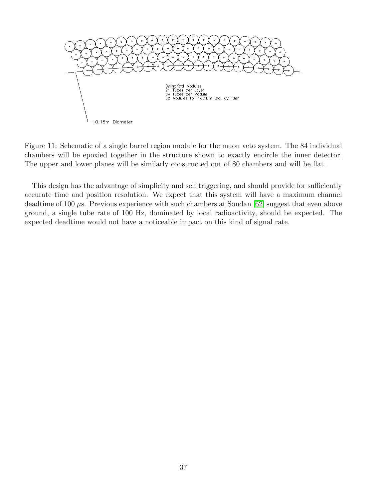

<span id="page-40-0"></span>Figure 11: Schematic of a single barrel region module for the muon veto system. The 84 individual chambers will be epoxied together in the structure shown to exactly encircle the inner detector. The upper and lower planes will be similarly constructed out of 80 chambers and will be flat.

This design has the advantage of simplicity and self triggering, and should provide for sufficiently accurate time and position resolution. We expect that this system will have a maximum channel deadtime of 100  $\mu$ s. Previous experience with such chambers at Soudan [\[62\]](#page-69-0) suggest that even above ground, a single tube rate of 100 Hz, dominated by local radioactivity, should be expected. The expected deadtime would not have a noticeable impact on this kind of signal rate.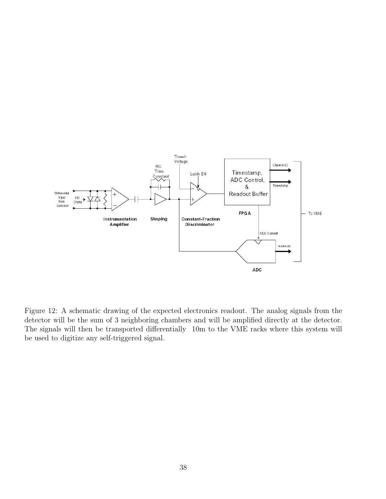

<span id="page-41-0"></span>Figure 12: A schematic drawing of the expected electronics readout. The analog signals from the detector will be the sum of 3 neighboring chambers and will be amplified directly at the detector. The signals will then be transported differentially 10m to the VME racks where this system will be used to digitize any self-triggered signal.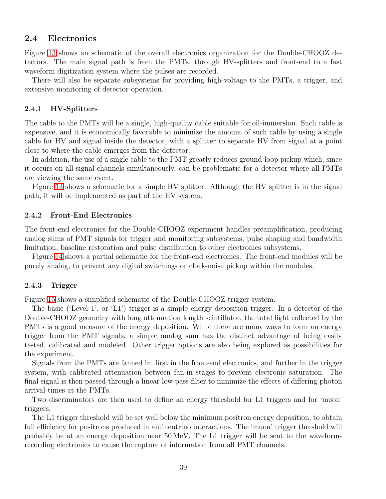## 2.4 Electronics

Figure [13](#page-44-0) shows an schematic of the overall electronics organization for the Double-CHOOZ detectors. The main signal path is from the PMTs, through HV-splitters and front-end to a fast waveform digitization system where the pulses are recorded.

There will also be separate subsystems for providing high-voltage to the PMTs, a trigger, and extensive monitoring of detector operation.

#### 2.4.1 HV-Splitters

The cable to the PMTs will be a single, high-quality cable suitable for oil-immersion. Such cable is expensive, and it is economically favorable to minimize the amount of such cable by using a single cable for HV and signal inside the detector, with a splitter to separate HV from signal at a point close to where the cable emerges from the detector.

In addition, the use of a single cable to the PMT greatly reduces ground-loop pickup which, since it occurs on all signal channels simultaneously, can be problematic for a detector where all PMTs are viewing the same event.

Figure [13](#page-44-0) shows a schematic for a simple HV splitter. Although the HV splitter is in the signal path, it will be implemented as part of the HV system.

#### 2.4.2 Front-End Electronics

The front-end electronics for the Double-CHOOZ experiment handles preamplification, producing analog sums of PMT signals for trigger and monitoring subsystems, pulse shaping and bandwidth limitation, baseline restoration and pulse distribution to other electronics subsystems.

Figure [14](#page-44-1) shows a partial schematic for the front-end electronics. The front-end modules will be purely analog, to prevent any digital switching- or clock-noise pickup within the modules.

#### 2.4.3 Trigger

Figure [15](#page-45-0) shows a simplified schematic of the Double-CHOOZ trigger system.

The basic ('Level 1', or 'L1') trigger is a simple energy deposition trigger. In a detector of the Double-CHOOZ geometry with long attenuation length scintillator, the total light collected by the PMTs is a good measure of the energy deposition. While there are many ways to form an energy trigger from the PMT signals, a simple analog sum has the distinct advantage of being easily tested, calibrated and modeled. Other trigger options are also being explored as possibilities for the experiment.

Signals from the PMTs are fanned in, first in the front-end electronics, and further in the trigger system, with calibrated attenuation between fan-in stages to prevent electronic saturation. The final signal is then passed through a linear low-pass filter to minimize the effects of differing photon arrival-times at the PMTs.

Two discriminators are then used to define an energy threshold for L1 triggers and for 'muon' triggers.

The L1 trigger threshold will be set well below the minimum positron energy deposition, to obtain full efficiency for positrons produced in antineutrino interactions. The 'muon' trigger threshold will probably be at an energy deposition near 50 MeV. The L1 trigger will be sent to the waveformrecording electronics to cause the capture of information from all PMT channels.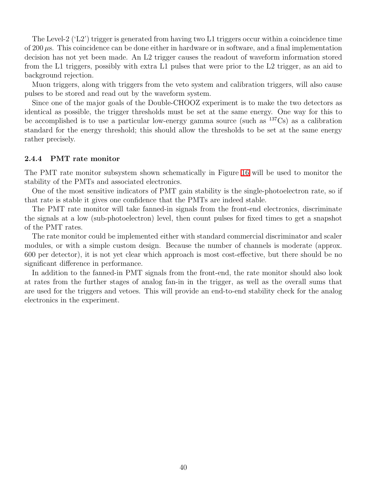The Level-2 ('L2') trigger is generated from having two L1 triggers occur within a coincidence time of 200  $\mu$ s. This coincidence can be done either in hardware or in software, and a final implementation decision has not yet been made. An L2 trigger causes the readout of waveform information stored from the L1 triggers, possibly with extra L1 pulses that were prior to the L2 trigger, as an aid to background rejection.

Muon triggers, along with triggers from the veto system and calibration triggers, will also cause pulses to be stored and read out by the waveform system.

Since one of the major goals of the Double-CHOOZ experiment is to make the two detectors as identical as possible, the trigger thresholds must be set at the same energy. One way for this to be accomplished is to use a particular low-energy gamma source (such as  $137Cs$ ) as a calibration standard for the energy threshold; this should allow the thresholds to be set at the same energy rather precisely.

#### 2.4.4 PMT rate monitor

The PMT rate monitor subsystem shown schematically in Figure [16](#page-46-0) will be used to monitor the stability of the PMTs and associated electronics.

One of the most sensitive indicators of PMT gain stability is the single-photoelectron rate, so if that rate is stable it gives one confidence that the PMTs are indeed stable.

The PMT rate monitor will take fanned-in signals from the front-end electronics, discriminate the signals at a low (sub-photoelectron) level, then count pulses for fixed times to get a snapshot of the PMT rates.

The rate monitor could be implemented either with standard commercial discriminator and scaler modules, or with a simple custom design. Because the number of channels is moderate (approx. 600 per detector), it is not yet clear which approach is most cost-effective, but there should be no significant difference in performance.

In addition to the fanned-in PMT signals from the front-end, the rate monitor should also look at rates from the further stages of analog fan-in in the trigger, as well as the overall sums that are used for the triggers and vetoes. This will provide an end-to-end stability check for the analog electronics in the experiment.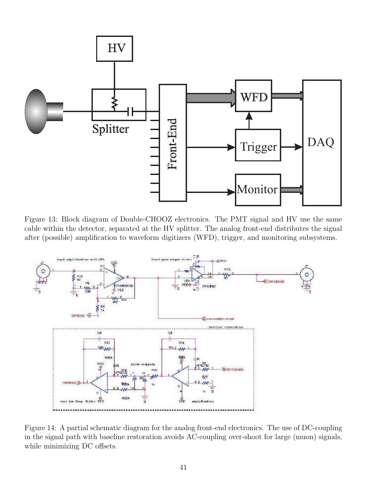

<span id="page-44-0"></span>Figure 13: Block diagram of Double-CHOOZ electronics. The PMT signal and HV use the same cable within the detector, separated at the HV splitter. The analog front-end distributes the signal after (possible) amplification to waveform digitizers (WFD), trigger, and monitoring subsystems.



<span id="page-44-1"></span>Figure 14: A partial schematic diagram for the analog front-end electronics. The use of DC-coupling in the signal path with baseline restoration avoids AC-coupling over-shoot for large (muon) signals, while minimizing DC offsets.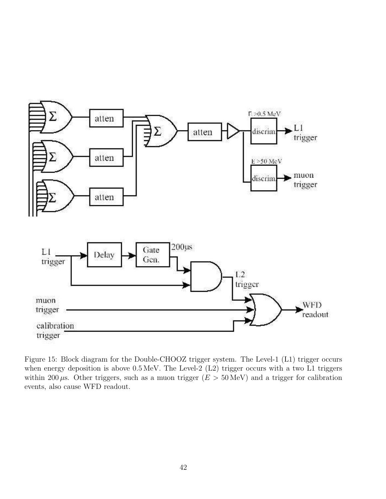

<span id="page-45-0"></span>Figure 15: Block diagram for the Double-CHOOZ trigger system. The Level-1 (L1) trigger occurs when energy deposition is above  $0.5 \text{ MeV}$ . The Level-2 (L2) trigger occurs with a two L1 triggers within 200  $\mu$ s. Other triggers, such as a muon trigger ( $E > 50$  MeV) and a trigger for calibration events, also cause WFD readout.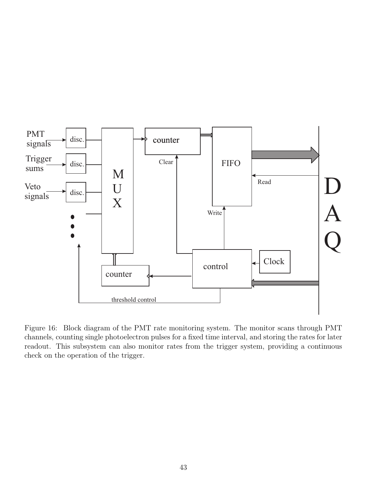

<span id="page-46-0"></span>Figure 16: Block diagram of the PMT rate monitoring system. The monitor scans through PMT channels, counting single photoelectron pulses for a fixed time interval, and storing the rates for later readout. This subsystem can also monitor rates from the trigger system, providing a continuous check on the operation of the trigger.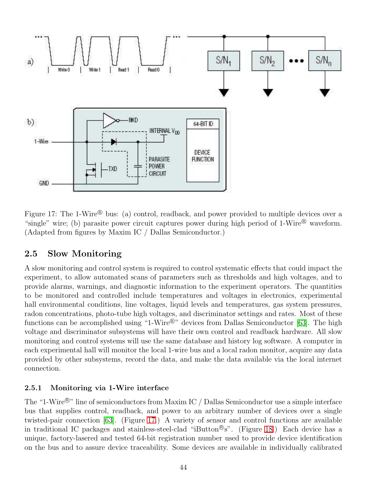

<span id="page-47-0"></span>Figure 17: The 1-Wire<sup>®</sup> bus: (a) control, readback, and power provided to multiple devices over a "single" wire; (b) parasite power circuit captures power during high period of  $1-Wire^{\circledR}$  waveform. (Adapted from figures by Maxim IC / Dallas Semiconductor.)

## 2.5 Slow Monitoring

A slow monitoring and control system is required to control systematic effects that could impact the experiment, to allow automated scans of parameters such as thresholds and high voltages, and to provide alarms, warnings, and diagnostic information to the experiment operators. The quantities to be monitored and controlled include temperatures and voltages in electronics, experimental hall environmental conditions, line voltages, liquid levels and temperatures, gas system pressures, radon concentrations, photo-tube high voltages, and discriminator settings and rates. Most of these functions can be accomplished using "1-Wire $^{\circledR}$ " devices from Dallas Semiconductor [\[63\]](#page-69-1). The high voltage and discriminator subsystems will have their own control and readback hardware. All slow monitoring and control systems will use the same database and history log software. A computer in each experimental hall will monitor the local 1-wire bus and a local radon monitor, acquire any data provided by other subsystems, record the data, and make the data available via the local internet connection.

## 2.5.1 Monitoring via 1-Wire interface

The "1-Wire<sup>®</sup>" line of semiconductors from Maxim IC / Dallas Semiconductor use a simple interface bus that supplies control, readback, and power to an arbitrary number of devices over a single twisted-pair connection [\[63\]](#page-69-1). (Figure [17.](#page-47-0)) A variety of sensor and control functions are available in traditional IC packages and stainless-steel-clad "iButton®s". (Figure [18.](#page-48-0)) Each device has a unique, factory-lasered and tested 64-bit registration number used to provide device identification on the bus and to assure device traceability. Some devices are available in individually calibrated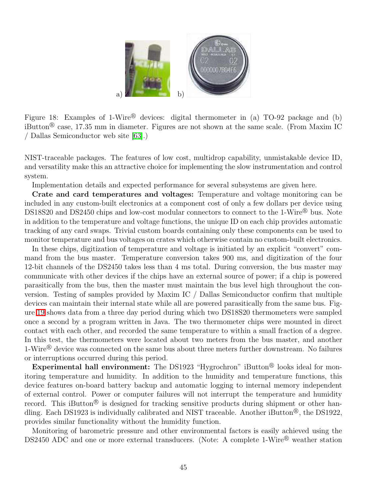

<span id="page-48-0"></span>Figure 18: Examples of 1-Wire® devices: digital thermometer in (a) TO-92 package and (b) iButton<sup>®</sup> case, 17.35 mm in diameter. Figures are not shown at the same scale. (From Maxim IC / Dallas Semiconductor web site [\[63\]](#page-69-1).)

NIST-traceable packages. The features of low cost, multidrop capability, unmistakable device ID, and versatility make this an attractive choice for implementing the slow instrumentation and control system.

Implementation details and expected performance for several subsystems are given here.

Crate and card temperatures and voltages: Temperature and voltage monitoring can be included in any custom-built electronics at a component cost of only a few dollars per device using DS18S20 and DS2450 chips and low-cost modular connectors to connect to the 1-Wire® bus. Note in addition to the temperature and voltage functions, the unique ID on each chip provides automatic tracking of any card swaps. Trivial custom boards containing only these components can be used to monitor temperature and bus voltages on crates which otherwise contain no custom-built electronics.

In these chips, digitization of temperature and voltage is initiated by an explicit "convert" command from the bus master. Temperature conversion takes 900 ms, and digitization of the four 12-bit channels of the DS2450 takes less than 4 ms total. During conversion, the bus master may communicate with other devices if the chips have an external source of power; if a chip is powered parasitically from the bus, then the master must maintain the bus level high throughout the conversion. Testing of samples provided by Maxim IC / Dallas Semiconductor confirm that multiple devices can maintain their internal state while all are powered parasitically from the same bus. Figure [19](#page-49-0) shows data from a three day period during which two DS18S20 thermometers were sampled once a second by a program written in Java. The two thermometer chips were mounted in direct contact with each other, and recorded the same temperature to within a small fraction of a degree. In this test, the thermometers were located about two meters from the bus master, and another  $1-Wire^{\textcircled{b}}$  device was connected on the same bus about three meters further downstream. No failures or interruptions occurred during this period.

Experimental hall environment: The DS1923 "Hygrochron" iButton<sup>®</sup> looks ideal for monitoring temperature and humidity. In addition to the humidity and temperature functions, this device features on-board battery backup and automatic logging to internal memory independent of external control. Power or computer failures will not interrupt the temperature and humidity record. This iButton<sup>®</sup> is designed for tracking sensitive products during shipment or other handling. Each DS1923 is individually calibrated and NIST traceable. Another iButton<sup>®</sup>, the DS1922, provides similar functionality without the humidity function.

Monitoring of barometric pressure and other environmental factors is easily achieved using the DS2450 ADC and one or more external transducers. (Note: A complete 1-Wire<sup>®</sup> weather station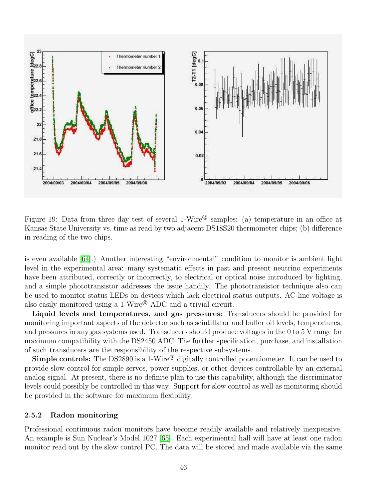

<span id="page-49-0"></span>Figure 19: Data from three day test of several 1-Wire<sup>®</sup> samples: (a) temperature in an office at Kansas State University vs. time as read by two adjacent DS18S20 thermometer chips; (b) difference in reading of the two chips.

is even available [\[64\]](#page-69-2).) Another interesting "environmental" condition to monitor is ambient light level in the experimental area: many systematic effects in past and present neutrino experiments have been attributed, correctly or incorrectly, to electrical or optical noise introduced by lighting, and a simple phototransistor addresses the issue handily. The phototransistor technique also can be used to monitor status LEDs on devices which lack electrical status outputs. AC line voltage is also easily monitored using a 1-Wire<sup>®</sup> ADC and a trivial circuit.

Liquid levels and temperatures, and gas pressures: Transducers should be provided for monitoring important aspects of the detector such as scintillator and buffer oil levels, temperatures, and pressures in any gas systems used. Transducers should produce voltages in the 0 to 5 V range for maximum compatibility with the DS2450 ADC. The further specification, purchase, and installation of such transducers are the responsibility of the respective subsystems.

**Simple controls:** The DS2890 is a 1-Wire<sup>®</sup> digitally controlled potentiometer. It can be used to provide slow control for simple servos, power supplies, or other devices controllable by an external analog signal. At present, there is no definite plan to use this capability, although the discriminator levels could possibly be controlled in this way. Support for slow control as well as monitoring should be provided in the software for maximum flexibility.

#### 2.5.2 Radon monitoring

Professional continuous radon monitors have become readily available and relatively inexpensive. An example is Sun Nuclear's Model 1027 [\[65\]](#page-69-3). Each experimental hall will have at least one radon monitor read out by the slow control PC. The data will be stored and made available via the same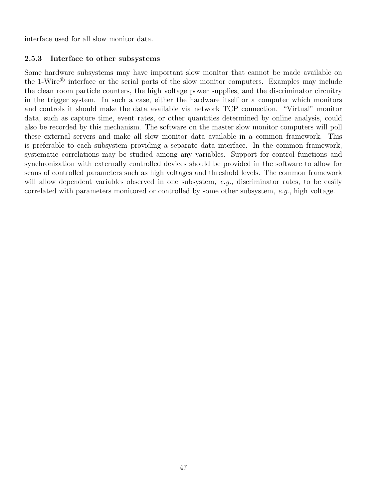interface used for all slow monitor data.

## 2.5.3 Interface to other subsystems

Some hardware subsystems may have important slow monitor that cannot be made available on the 1-Wire<sup>®</sup> interface or the serial ports of the slow monitor computers. Examples may include the clean room particle counters, the high voltage power supplies, and the discriminator circuitry in the trigger system. In such a case, either the hardware itself or a computer which monitors and controls it should make the data available via network TCP connection. "Virtual" monitor data, such as capture time, event rates, or other quantities determined by online analysis, could also be recorded by this mechanism. The software on the master slow monitor computers will poll these external servers and make all slow monitor data available in a common framework. This is preferable to each subsystem providing a separate data interface. In the common framework, systematic correlations may be studied among any variables. Support for control functions and synchronization with externally controlled devices should be provided in the software to allow for scans of controlled parameters such as high voltages and threshold levels. The common framework will allow dependent variables observed in one subsystem, e.g., discriminator rates, to be easily correlated with parameters monitored or controlled by some other subsystem, e.g., high voltage.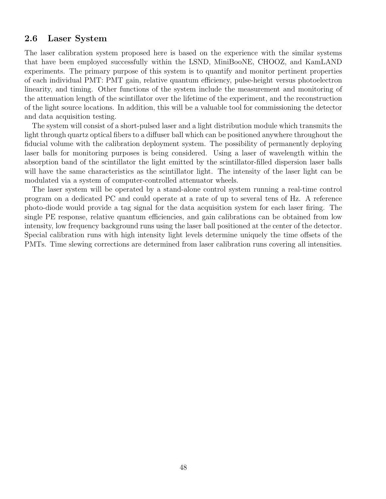## 2.6 Laser System

The laser calibration system proposed here is based on the experience with the similar systems that have been employed successfully within the LSND, MiniBooNE, CHOOZ, and KamLAND experiments. The primary purpose of this system is to quantify and monitor pertinent properties of each individual PMT: PMT gain, relative quantum efficiency, pulse-height versus photoelectron linearity, and timing. Other functions of the system include the measurement and monitoring of the attenuation length of the scintillator over the lifetime of the experiment, and the reconstruction of the light source locations. In addition, this will be a valuable tool for commissioning the detector and data acquisition testing.

The system will consist of a short-pulsed laser and a light distribution module which transmits the light through quartz optical fibers to a diffuser ball which can be positioned anywhere throughout the fiducial volume with the calibration deployment system. The possibility of permanently deploying laser balls for monitoring purposes is being considered. Using a laser of wavelength within the absorption band of the scintillator the light emitted by the scintillator-filled dispersion laser balls will have the same characteristics as the scintillator light. The intensity of the laser light can be modulated via a system of computer-controlled attenuator wheels.

The laser system will be operated by a stand-alone control system running a real-time control program on a dedicated PC and could operate at a rate of up to several tens of Hz. A reference photo-diode would provide a tag signal for the data acquisition system for each laser firing. The single PE response, relative quantum efficiencies, and gain calibrations can be obtained from low intensity, low frequency background runs using the laser ball positioned at the center of the detector. Special calibration runs with high intensity light levels determine uniquely the time offsets of the PMTs. Time slewing corrections are determined from laser calibration runs covering all intensities.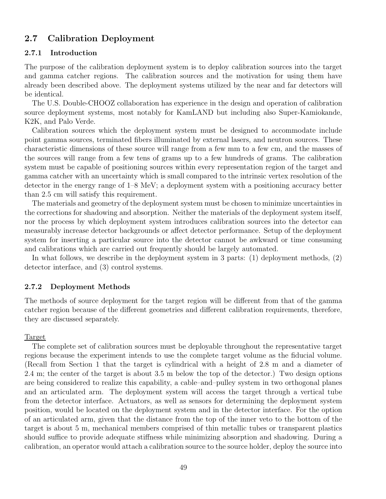## 2.7 Calibration Deployment

#### 2.7.1 Introduction

The purpose of the calibration deployment system is to deploy calibration sources into the target and gamma catcher regions. The calibration sources and the motivation for using them have already been described above. The deployment systems utilized by the near and far detectors will be identical.

The U.S. Double-CHOOZ collaboration has experience in the design and operation of calibration source deployment systems, most notably for KamLAND but including also Super-Kamiokande, K2K, and Palo Verde.

Calibration sources which the deployment system must be designed to accommodate include point gamma sources, terminated fibers illuminated by external lasers, and neutron sources. These characteristic dimensions of these source will range from a few mm to a few cm, and the masses of the sources will range from a few tens of grams up to a few hundreds of grams. The calibration system must be capable of positioning sources within every representation region of the target and gamma catcher with an uncertainty which is small compared to the intrinsic vertex resolution of the detector in the energy range of 1–8 MeV; a deployment system with a positioning accuracy better than 2.5 cm will satisfy this requirement.

The materials and geometry of the deployment system must be chosen to minimize uncertainties in the corrections for shadowing and absorption. Neither the materials of the deployment system itself, nor the process by which deployment system introduces calibration sources into the detector can measurably increase detector backgrounds or affect detector performance. Setup of the deployment system for inserting a particular source into the detector cannot be awkward or time consuming and calibrations which are carried out frequently should be largely automated.

In what follows, we describe in the deployment system in 3 parts: (1) deployment methods, (2) detector interface, and (3) control systems.

#### 2.7.2 Deployment Methods

The methods of source deployment for the target region will be different from that of the gamma catcher region because of the different geometries and different calibration requirements, therefore, they are discussed separately.

#### Target

The complete set of calibration sources must be deployable throughout the representative target regions because the experiment intends to use the complete target volume as the fiducial volume. (Recall from Section 1 that the target is cylindrical with a height of 2.8 m and a diameter of 2.4 m; the center of the target is about 3.5 m below the top of the detector.) Two design options are being considered to realize this capability, a cable–and–pulley system in two orthogonal planes and an articulated arm. The deployment system will access the target through a vertical tube from the detector interface. Actuators, as well as sensors for determining the deployment system position, would be located on the deployment system and in the detector interface. For the option of an articulated arm, given that the distance from the top of the inner veto to the bottom of the target is about 5 m, mechanical members comprised of thin metallic tubes or transparent plastics should suffice to provide adequate stiffness while minimizing absorption and shadowing. During a calibration, an operator would attach a calibration source to the source holder, deploy the source into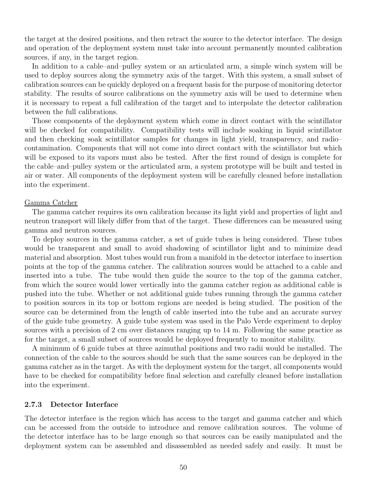the target at the desired positions, and then retract the source to the detector interface. The design and operation of the deployment system must take into account permanently mounted calibration sources, if any, in the target region.

In addition to a cable–and–pulley system or an articulated arm, a simple winch system will be used to deploy sources along the symmetry axis of the target. With this system, a small subset of calibration sources can be quickly deployed on a frequent basis for the purpose of monitoring detector stability. The results of source calibrations on the symmetry axis will be used to determine when it is necessary to repeat a full calibration of the target and to interpolate the detector calibration between the full calibrations.

Those components of the deployment system which come in direct contact with the scintillator will be checked for compatibility. Compatibility tests will include soaking in liquid scintillator and then checking soak scintillator samples for changes in light yield, transparency, and radio– contamination. Components that will not come into direct contact with the scintillator but which will be exposed to its vapors must also be tested. After the first round of design is complete for the cable–and–pulley system or the articulated arm, a system prototype will be built and tested in air or water. All components of the deployment system will be carefully cleaned before installation into the experiment.

#### Gamma Catcher

The gamma catcher requires its own calibration because its light yield and properties of light and neutron transport will likely differ from that of the target. These differences can be measured using gamma and neutron sources.

To deploy sources in the gamma catcher, a set of guide tubes is being considered. These tubes would be transparent and small to avoid shadowing of scintillator light and to minimize dead material and absorption. Most tubes would run from a manifold in the detector interface to insertion points at the top of the gamma catcher. The calibration sources would be attached to a cable and inserted into a tube. The tube would then guide the source to the top of the gamma catcher, from which the source would lower vertically into the gamma catcher region as additional cable is pushed into the tube. Whether or not additional guide tubes running through the gamma catcher to position sources in its top or bottom regions are needed is being studied. The position of the source can be determined from the length of cable inserted into the tube and an accurate survey of the guide tube geometry. A guide tube system was used in the Palo Verde experiment to deploy sources with a precision of 2 cm over distances ranging up to 14 m. Following the same practice as for the target, a small subset of sources would be deployed frequently to monitor stability.

A minimum of 6 guide tubes at three azimuthal positions and two radii would be installed. The connection of the cable to the sources should be such that the same sources can be deployed in the gamma catcher as in the target. As with the deployment system for the target, all components would have to be checked for compatibility before final selection and carefully cleaned before installation into the experiment.

#### 2.7.3 Detector Interface

The detector interface is the region which has access to the target and gamma catcher and which can be accessed from the outside to introduce and remove calibration sources. The volume of the detector interface has to be large enough so that sources can be easily manipulated and the deployment system can be assembled and disassembled as needed safely and easily. It must be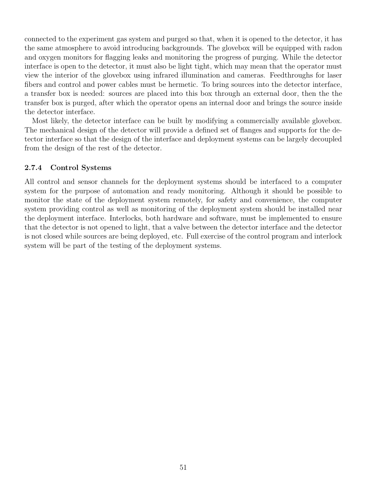connected to the experiment gas system and purged so that, when it is opened to the detector, it has the same atmosphere to avoid introducing backgrounds. The glovebox will be equipped with radon and oxygen monitors for flagging leaks and monitoring the progress of purging. While the detector interface is open to the detector, it must also be light tight, which may mean that the operator must view the interior of the glovebox using infrared illumination and cameras. Feedthroughs for laser fibers and control and power cables must be hermetic. To bring sources into the detector interface, a transfer box is needed: sources are placed into this box through an external door, then the the transfer box is purged, after which the operator opens an internal door and brings the source inside the detector interface.

Most likely, the detector interface can be built by modifying a commercially available glovebox. The mechanical design of the detector will provide a defined set of flanges and supports for the detector interface so that the design of the interface and deployment systems can be largely decoupled from the design of the rest of the detector.

#### 2.7.4 Control Systems

All control and sensor channels for the deployment systems should be interfaced to a computer system for the purpose of automation and ready monitoring. Although it should be possible to monitor the state of the deployment system remotely, for safety and convenience, the computer system providing control as well as monitoring of the deployment system should be installed near the deployment interface. Interlocks, both hardware and software, must be implemented to ensure that the detector is not opened to light, that a valve between the detector interface and the detector is not closed while sources are being deployed, etc. Full exercise of the control program and interlock system will be part of the testing of the deployment systems.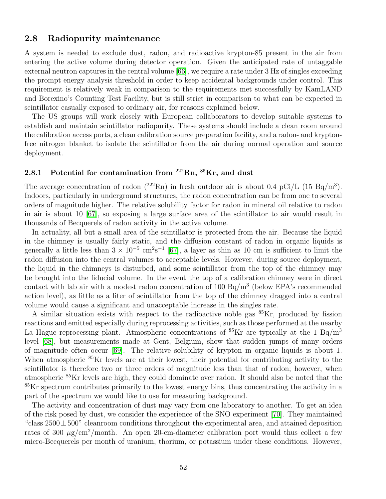#### 2.8 Radiopurity maintenance

A system is needed to exclude dust, radon, and radioactive krypton-85 present in the air from entering the active volume during detector operation. Given the anticipated rate of untaggable external neutron captures in the central volume [\[66\]](#page-69-4), we require a rate under 3 Hz of singles exceeding the prompt energy analysis threshold in order to keep accidental backgrounds under control. This requirement is relatively weak in comparison to the requirements met successfully by KamLAND and Borexino's Counting Test Facility, but is still strict in comparison to what can be expected in scintillator casually exposed to ordinary air, for reasons explained below.

The US groups will work closely with European collaborators to develop suitable systems to establish and maintain scintillator radiopurity. These systems should include a clean room around the calibration access ports, a clean calibration source preparation facility, and a radon- and kryptonfree nitrogen blanket to isolate the scintillator from the air during normal operation and source deployment.

## 2.8.1 Potential for contamination from  $222\text{Rn}$ ,  $85\text{Kr}$ , and dust

The average concentration of radon  $(^{222}Rn)$  in fresh outdoor air is about 0.4 pCi/L  $(15 Bq/m<sup>3</sup>)$ . Indoors, particularly in underground structures, the radon concentration can be from one to several orders of magnitude higher. The relative solubility factor for radon in mineral oil relative to radon in air is about 10 [\[67\]](#page-69-5), so exposing a large surface area of the scintillator to air would result in thousands of Becquerels of radon activity in the active volume.

In actuality, all but a small area of the scintillator is protected from the air. Because the liquid in the chimney is usually fairly static, and the diffusion constant of radon in organic liquids is generally a little less than  $3 \times 10^{-5}$  cm<sup>2</sup>s<sup>-1</sup> [\[67\]](#page-69-5), a layer as thin as 10 cm is sufficient to limit the radon diffusion into the central volumes to acceptable levels. However, during source deployment, the liquid in the chimneys is disturbed, and some scintillator from the top of the chimney may be brought into the fiducial volume. In the event the top of a calibration chimney were in direct contact with lab air with a modest radon concentration of  $100 \text{ Bq/m}^3$  (below EPA's recommended action level), as little as a liter of scintillator from the top of the chimney dragged into a central volume would cause a significant and unacceptable increase in the singles rate.

A similar situation exists with respect to the radioactive noble gas  ${}^{85}Kr$ , produced by fission reactions and emitted especially during reprocessing activities, such as those performed at the nearby La Hague reprocessing plant. Atmospheric concentrations of  ${}^{85}$ Kr are typically at the 1 Bq/m<sup>3</sup> level [\[68\]](#page-69-6), but measurements made at Gent, Belgium, show that sudden jumps of many orders of magnitude often occur [\[69\]](#page-69-7). The relative solubility of krypton in organic liquids is about 1. When atmospheric <sup>85</sup>Kr levels are at their lowest, their potential for contributing activity to the scintillator is therefore two or three orders of magnitude less than that of radon; however, when atmospheric <sup>85</sup>Kr levels are high, they could dominate over radon. It should also be noted that the  ${}^{85}$ Kr spectrum contributes primarily to the lowest energy bins, thus concentrating the activity in a part of the spectrum we would like to use for measuring background.

The activity and concentration of dust may vary from one laboratory to another. To get an idea of the risk posed by dust, we consider the experience of the SNO experiment [\[70\]](#page-69-8). They maintained "class  $2500 \pm 500$ " cleanroom conditions throughout the experimental area, and attained deposition rates of 300  $\mu$ g/cm<sup>2</sup>/month. An open 20-cm-diameter calibration port would thus collect a few micro-Becquerels per month of uranium, thorium, or potassium under these conditions. However,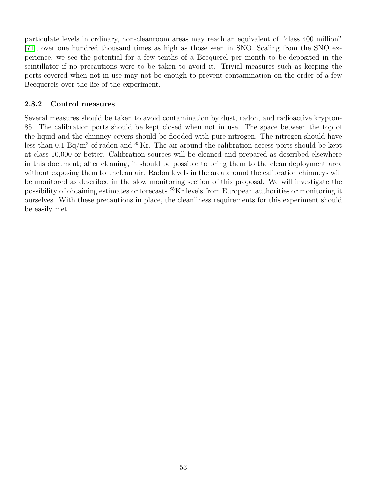particulate levels in ordinary, non-cleanroom areas may reach an equivalent of "class 400 million" [\[71\]](#page-69-9), over one hundred thousand times as high as those seen in SNO. Scaling from the SNO experience, we see the potential for a few tenths of a Becquerel per month to be deposited in the scintillator if no precautions were to be taken to avoid it. Trivial measures such as keeping the ports covered when not in use may not be enough to prevent contamination on the order of a few Becquerels over the life of the experiment.

## 2.8.2 Control measures

Several measures should be taken to avoid contamination by dust, radon, and radioactive krypton-85. The calibration ports should be kept closed when not in use. The space between the top of the liquid and the chimney covers should be flooded with pure nitrogen. The nitrogen should have less than 0.1 Bq/m<sup>3</sup> of radon and  ${}^{85}$ Kr. The air around the calibration access ports should be kept at class 10,000 or better. Calibration sources will be cleaned and prepared as described elsewhere in this document; after cleaning, it should be possible to bring them to the clean deployment area without exposing them to unclean air. Radon levels in the area around the calibration chimneys will be monitored as described in the slow monitoring section of this proposal. We will investigate the possibility of obtaining estimates or forecasts <sup>85</sup>Kr levels from European authorities or monitoring it ourselves. With these precautions in place, the cleanliness requirements for this experiment should be easily met.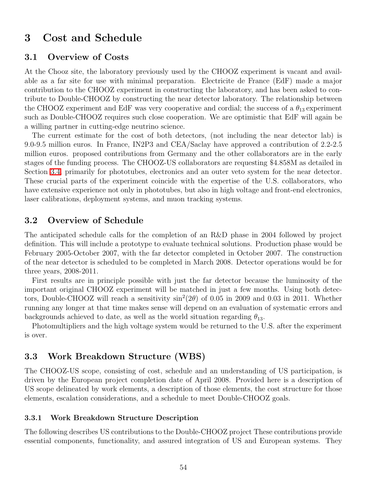# 3 Cost and Schedule

### 3.1 Overview of Costs

At the Chooz site, the laboratory previously used by the CHOOZ experiment is vacant and available as a far site for use with minimal preparation. Electricite de France (EdF) made a major contribution to the CHOOZ experiment in constructing the laboratory, and has been asked to contribute to Double-CHOOZ by constructing the near detector laboratory. The relationship between the CHOOZ experiment and EdF was very cooperative and cordial; the success of a  $\theta_{13}$  experiment such as Double-CHOOZ requires such close cooperation. We are optimistic that EdF will again be a willing partner in cutting-edge neutrino science.

The current estimate for the cost of both detectors, (not including the near detector lab) is 9.0-9.5 million euros. In France, IN2P3 and CEA/Saclay have approved a contribution of 2.2-2.5 million euros. proposed contributions from Germany and the other collaborators are in the early stages of the funding process. The CHOOZ-US collaborators are requesting \$4.858M as detailed in Section [3.4,](#page-61-0) primarily for phototubes, electronics and an outer veto system for the near detector. These crucial parts of the experiment coincide with the expertise of the U.S. collaborators, who have extensive experience not only in phototubes, but also in high voltage and front-end electronics, laser calibrations, deployment systems, and muon tracking systems.

### 3.2 Overview of Schedule

The anticipated schedule calls for the completion of an R&D phase in 2004 followed by project definition. This will include a prototype to evaluate technical solutions. Production phase would be February 2005-October 2007, with the far detector completed in October 2007. The construction of the near detector is scheduled to be completed in March 2008. Detector operations would be for three years, 2008-2011.

First results are in principle possible with just the far detector because the luminosity of the important original CHOOZ experiment will be matched in just a few months. Using both detectors, Double-CHOOZ will reach a sensitivity  $\sin^2(2\theta)$  of 0.05 in 2009 and 0.03 in 2011. Whether running any longer at that time makes sense will depend on an evaluation of systematic errors and backgrounds achieved to date, as well as the world situation regarding  $\theta_{13}$ .

Photomultipliers and the high voltage system would be returned to the U.S. after the experiment is over.

## 3.3 Work Breakdown Structure (WBS)

The CHOOZ-US scope, consisting of cost, schedule and an understanding of US participation, is driven by the European project completion date of April 2008. Provided here is a description of US scope delineated by work elements, a description of those elements, the cost structure for those elements, escalation considerations, and a schedule to meet Double-CHOOZ goals.

#### 3.3.1 Work Breakdown Structure Description

The following describes US contributions to the Double-CHOOZ project These contributions provide essential components, functionality, and assured integration of US and European systems. They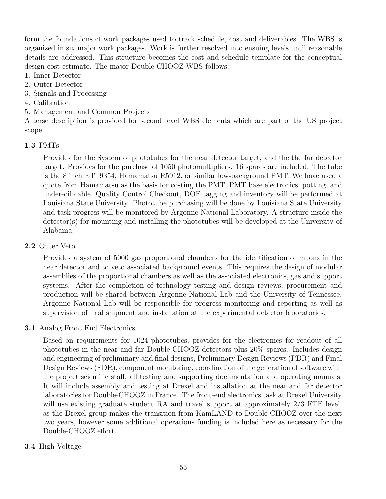form the foundations of work packages used to track schedule, cost and deliverables. The WBS is organized in six major work packages. Work is further resolved into ensuing levels until reasonable details are addressed. This structure becomes the cost and schedule template for the conceptual design cost estimate. The major Double-CHOOZ WBS follows:

- 1. Inner Detector
- 2. Outer Detector
- 3. Signals and Processing
- 4. Calibration
- 5. Management and Common Projects

A terse description is provided for second level WBS elements which are part of the US project scope.

### 1.3 PMTs

Provides for the System of phototubes for the near detector target, and the the far detector target. Provides for the purchase of 1050 photomultipliers. 16 spares are included. The tube is the 8 inch ETI 9354, Hamamatsu R5912, or similar low-background PMT. We have used a quote from Hamamatsu as the basis for costing the PMT, PMT base electronics, potting, and under-oil cable. Quality Control Checkout, DOE tagging and inventory will be performed at Louisiana State University. Phototube purchasing will be done by Louisiana State University and task progress will be monitored by Argonne National Laboratory. A structure inside the detector(s) for mounting and installing the phototubes will be developed at the University of Alabama.

### 2.2 Outer Veto

Provides a system of 5000 gas proportional chambers for the identification of muons in the near detector and to veto associated background events. This requires the design of modular assemblies of the proportional chambers as well as the associated electronics, gas and support systems. After the completion of technology testing and design reviews, procurement and production will be shared between Argonne National Lab and the University of Tennessee. Argonne National Lab will be responsible for progress monitoring and reporting as well as supervision of final shipment and installation at the experimental detector laboratories.

### 3.1 Analog Front End Electronics

Based on requirements for 1024 phototubes, provides for the electronics for readout of all phototubes in the near and far Double-CHOOZ detectors plus 20% spares. Includes design and engineering of preliminary and final designs, Preliminary Design Reviews (PDR) and Final Design Reviews (FDR), component monitoring, coordination of the generation of software with the project scientific staff, all testing and supporting documentation and operating manuals. It will include assembly and testing at Drexel and installation at the near and far detector laboratories for Double-CHOOZ in France. The front-end electronics task at Drexel University will use existing graduate student RA and travel support at approximately  $2/3$  FTE level, as the Drexel group makes the transition from KamLAND to Double-CHOOZ over the next two years, however some additional operations funding is included here as necessary for the Double-CHOOZ effort.

### 3.4 High Voltage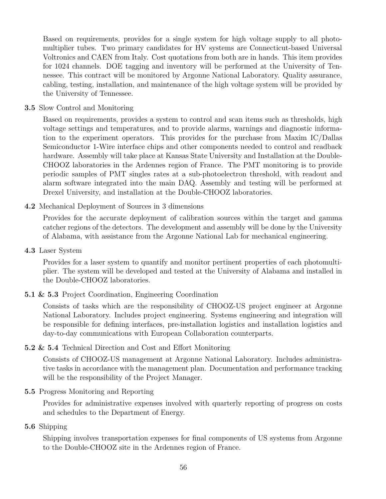Based on requirements, provides for a single system for high voltage supply to all photomultiplier tubes. Two primary candidates for HV systems are Connecticut-based Universal Voltronics and CAEN from Italy. Cost quotations from both are in hands. This item provides for 1024 channels. DOE tagging and inventory will be performed at the University of Tennessee. This contract will be monitored by Argonne National Laboratory. Quality assurance, cabling, testing, installation, and maintenance of the high voltage system will be provided by the University of Tennessee.

### 3.5 Slow Control and Monitoring

Based on requirements, provides a system to control and scan items such as thresholds, high voltage settings and temperatures, and to provide alarms, warnings and diagnostic information to the experiment operators. This provides for the purchase from Maxim IC/Dallas Semiconductor 1-Wire interface chips and other components needed to control and readback hardware. Assembly will take place at Kansas State University and Installation at the Double-CHOOZ laboratories in the Ardennes region of France. The PMT monitoring is to provide periodic samples of PMT singles rates at a sub-photoelectron threshold, with readout and alarm software integrated into the main DAQ. Assembly and testing will be performed at Drexel University, and installation at the Double-CHOOZ laboratories.

## 4.2 Mechanical Deployment of Sources in 3 dimensions

Provides for the accurate deployment of calibration sources within the target and gamma catcher regions of the detectors. The development and assembly will be done by the University of Alabama, with assistance from the Argonne National Lab for mechanical engineering.

4.3 Laser System

Provides for a laser system to quantify and monitor pertinent properties of each photomultiplier. The system will be developed and tested at the University of Alabama and installed in the Double-CHOOZ laboratories.

5.1 & 5.3 Project Coordination, Engineering Coordination

Consists of tasks which are the responsibility of CHOOZ-US project engineer at Argonne National Laboratory. Includes project engineering. Systems engineering and integration will be responsible for defining interfaces, pre-installation logistics and installation logistics and day-to-day communications with European Collaboration counterparts.

### 5.2 & 5.4 Technical Direction and Cost and Effort Monitoring

Consists of CHOOZ-US management at Argonne National Laboratory. Includes administrative tasks in accordance with the management plan. Documentation and performance tracking will be the responsibility of the Project Manager.

### 5.5 Progress Monitoring and Reporting

Provides for administrative expenses involved with quarterly reporting of progress on costs and schedules to the Department of Energy.

### 5.6 Shipping

Shipping involves transportation expenses for final components of US systems from Argonne to the Double-CHOOZ site in the Ardennes region of France.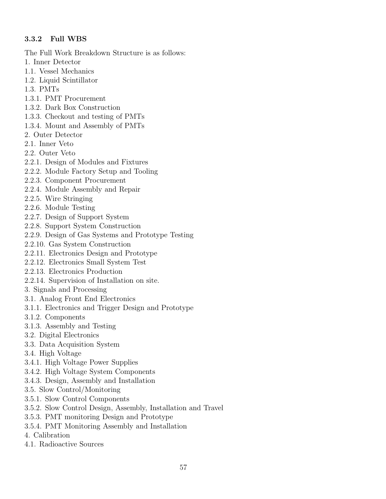## 3.3.2 Full WBS

The Full Work Breakdown Structure is as follows:

- 1. Inner Detector
- 1.1. Vessel Mechanics
- 1.2. Liquid Scintillator
- 1.3. PMTs
- 1.3.1. PMT Procurement
- 1.3.2. Dark Box Construction
- 1.3.3. Checkout and testing of PMTs
- 1.3.4. Mount and Assembly of PMTs
- 2. Outer Detector
- 2.1. Inner Veto
- 2.2. Outer Veto
- 2.2.1. Design of Modules and Fixtures
- 2.2.2. Module Factory Setup and Tooling
- 2.2.3. Component Procurement
- 2.2.4. Module Assembly and Repair
- 2.2.5. Wire Stringing
- 2.2.6. Module Testing
- 2.2.7. Design of Support System
- 2.2.8. Support System Construction
- 2.2.9. Design of Gas Systems and Prototype Testing
- 2.2.10. Gas System Construction
- 2.2.11. Electronics Design and Prototype
- 2.2.12. Electronics Small System Test
- 2.2.13. Electronics Production
- 2.2.14. Supervision of Installation on site.
- 3. Signals and Processing
- 3.1. Analog Front End Electronics
- 3.1.1. Electronics and Trigger Design and Prototype
- 3.1.2. Components
- 3.1.3. Assembly and Testing
- 3.2. Digital Electronics
- 3.3. Data Acquisition System
- 3.4. High Voltage
- 3.4.1. High Voltage Power Supplies
- 3.4.2. High Voltage System Components
- 3.4.3. Design, Assembly and Installation
- 3.5. Slow Control/Monitoring
- 3.5.1. Slow Control Components
- 3.5.2. Slow Control Design, Assembly, Installation and Travel
- 3.5.3. PMT monitoring Design and Prototype
- 3.5.4. PMT Monitoring Assembly and Installation
- 4. Calibration
- 4.1. Radioactive Sources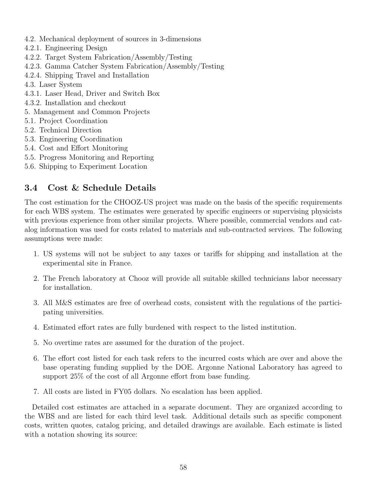- 4.2. Mechanical deployment of sources in 3-dimensions
- 4.2.1. Engineering Design
- 4.2.2. Target System Fabrication/Assembly/Testing
- 4.2.3. Gamma Catcher System Fabrication/Assembly/Testing
- 4.2.4. Shipping Travel and Installation
- 4.3. Laser System
- 4.3.1. Laser Head, Driver and Switch Box
- 4.3.2. Installation and checkout
- 5. Management and Common Projects
- 5.1. Project Coordination
- 5.2. Technical Direction
- 5.3. Engineering Coordination
- 5.4. Cost and Effort Monitoring
- 5.5. Progress Monitoring and Reporting
- 5.6. Shipping to Experiment Location

# <span id="page-61-0"></span>3.4 Cost & Schedule Details

The cost estimation for the CHOOZ-US project was made on the basis of the specific requirements for each WBS system. The estimates were generated by specific engineers or supervising physicists with previous experience from other similar projects. Where possible, commercial vendors and catalog information was used for costs related to materials and sub-contracted services. The following assumptions were made:

- 1. US systems will not be subject to any taxes or tariffs for shipping and installation at the experimental site in France.
- 2. The French laboratory at Chooz will provide all suitable skilled technicians labor necessary for installation.
- 3. All M&S estimates are free of overhead costs, consistent with the regulations of the participating universities.
- 4. Estimated effort rates are fully burdened with respect to the listed institution.
- 5. No overtime rates are assumed for the duration of the project.
- 6. The effort cost listed for each task refers to the incurred costs which are over and above the base operating funding supplied by the DOE. Argonne National Laboratory has agreed to support 25% of the cost of all Argonne effort from base funding.
- 7. All costs are listed in FY05 dollars. No escalation has been applied.

Detailed cost estimates are attached in a separate document. They are organized according to the WBS and are listed for each third level task. Additional details such as specific component costs, written quotes, catalog pricing, and detailed drawings are available. Each estimate is listed with a notation showing its source: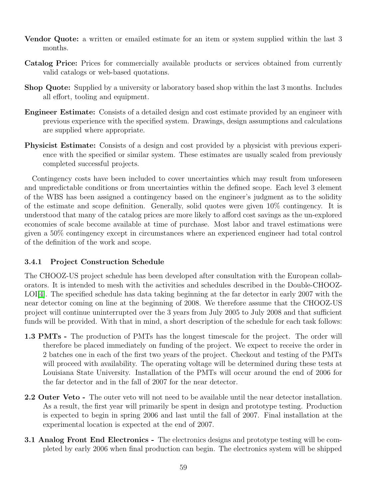- Vendor Quote: a written or emailed estimate for an item or system supplied within the last 3 months.
- Catalog Price: Prices for commercially available products or services obtained from currently valid catalogs or web-based quotations.
- Shop Quote: Supplied by a university or laboratory based shop within the last 3 months. Includes all effort, tooling and equipment.
- Engineer Estimate: Consists of a detailed design and cost estimate provided by an engineer with previous experience with the specified system. Drawings, design assumptions and calculations are supplied where appropriate.
- Physicist Estimate: Consists of a design and cost provided by a physicist with previous experience with the specified or similar system. These estimates are usually scaled from previously completed successful projects.

Contingency costs have been included to cover uncertainties which may result from unforeseen and unpredictable conditions or from uncertainties within the defined scope. Each level 3 element of the WBS has been assigned a contingency based on the engineer's judgment as to the solidity of the estimate and scope definition. Generally, solid quotes were given 10% contingency. It is understood that many of the catalog prices are more likely to afford cost savings as the un-explored economies of scale become available at time of purchase. Most labor and travel estimations were given a 50% contingency except in circumstances where an experienced engineer had total control of the definition of the work and scope.

## 3.4.1 Project Construction Schedule

The CHOOZ-US project schedule has been developed after consultation with the European collaborators. It is intended to mesh with the activities and schedules described in the Double-CHOOZ-LOI[\[4\]](#page-67-0). The specified schedule has data taking beginning at the far detector in early 2007 with the near detector coming on line at the beginning of 2008. We therefore assume that the CHOOZ-US project will continue uninterrupted over the 3 years from July 2005 to July 2008 and that sufficient funds will be provided. With that in mind, a short description of the schedule for each task follows:

- 1.3 PMTs The production of PMTs has the longest timescale for the project. The order will therefore be placed immediately on funding of the project. We expect to receive the order in 2 batches one in each of the first two years of the project. Checkout and testing of the PMTs will proceed with availability. The operating voltage will be determined during these tests at Louisiana State University. Installation of the PMTs will occur around the end of 2006 for the far detector and in the fall of 2007 for the near detector.
- 2.2 Outer Veto The outer veto will not need to be available until the near detector installation. As a result, the first year will primarily be spent in design and prototype testing. Production is expected to begin in spring 2006 and last until the fall of 2007. Final installation at the experimental location is expected at the end of 2007.
- 3.1 Analog Front End Electronics The electronics designs and prototype testing will be completed by early 2006 when final production can begin. The electronics system will be shipped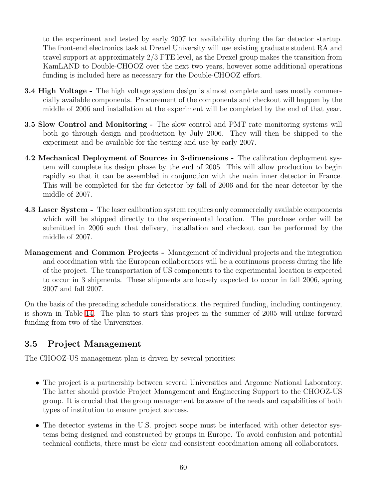to the experiment and tested by early 2007 for availability during the far detector startup. The front-end electronics task at Drexel University will use existing graduate student RA and travel support at approximately 2/3 FTE level, as the Drexel group makes the transition from KamLAND to Double-CHOOZ over the next two years, however some additional operations funding is included here as necessary for the Double-CHOOZ effort.

- **3.4 High Voltage** The high voltage system design is almost complete and uses mostly commercially available components. Procurement of the components and checkout will happen by the middle of 2006 and installation at the experiment will be completed by the end of that year.
- 3.5 Slow Control and Monitoring The slow control and PMT rate monitoring systems will both go through design and production by July 2006. They will then be shipped to the experiment and be available for the testing and use by early 2007.
- 4.2 Mechanical Deployment of Sources in 3-dimensions The calibration deployment system will complete its design phase by the end of 2005. This will allow production to begin rapidly so that it can be assembled in conjunction with the main inner detector in France. This will be completed for the far detector by fall of 2006 and for the near detector by the middle of 2007.
- 4.3 Laser System The laser calibration system requires only commercially available components which will be shipped directly to the experimental location. The purchase order will be submitted in 2006 such that delivery, installation and checkout can be performed by the middle of 2007.
- Management and Common Projects Management of individual projects and the integration and coordination with the European collaborators will be a continuous process during the life of the project. The transportation of US components to the experimental location is expected to occur in 3 shipments. These shipments are loosely expected to occur in fall 2006, spring 2007 and fall 2007.

On the basis of the preceding schedule considerations, the required funding, including contingency, is shown in Table [14.](#page-64-0) The plan to start this project in the summer of 2005 will utilize forward funding from two of the Universities.

# 3.5 Project Management

The CHOOZ-US management plan is driven by several priorities:

- The project is a partnership between several Universities and Argonne National Laboratory. The latter should provide Project Management and Engineering Support to the CHOOZ-US group. It is crucial that the group management be aware of the needs and capabilities of both types of institution to ensure project success.
- The detector systems in the U.S. project scope must be interfaced with other detector systems being designed and constructed by groups in Europe. To avoid confusion and potential technical conflicts, there must be clear and consistent coordination among all collaborators.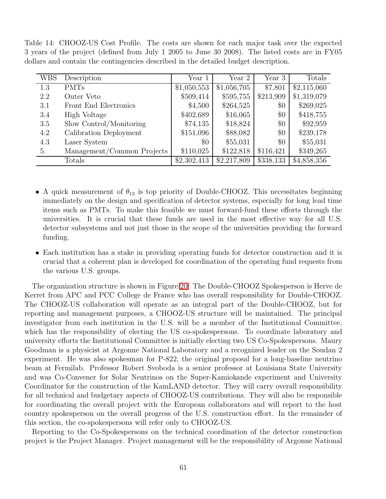<span id="page-64-0"></span>Table 14: CHOOZ-US Cost Profile. The costs are shown for each major task over the expected 3 years of the project (defined from July 1 2005 to June 30 2008). The listed costs are in FY05 dollars and contain the contingencies described in the detailed budget description.

| <b>WBS</b> | Description                | Year 1      | Year 2      | Year 3    | Totals      |
|------------|----------------------------|-------------|-------------|-----------|-------------|
| 1.3        | <b>PMTs</b>                | \$1,050,553 | \$1,056,705 | \$7,801   | \$2,115,060 |
| 2.2        | Outer Veto                 | \$509,414   | \$595,755   | \$213,909 | \$1,319,079 |
| 3.1        | Front End Electronics      | \$4,500     | \$264,525   | $\$0$     | \$269,025   |
| 3.4        | High Voltage               | \$402,689   | \$16,065    | \$0       | \$418,755   |
| 3.5        | Slow Control/Monitoring    | \$74,135    | \$18,824    | \$0       | \$92,959    |
| 4.2        | Calibration Deployment     | \$151,096   | \$88,082    | $\$0$     | \$239,178   |
| 4.3        | Laser System               | $\$0$       | \$55,031    | $\$0$     | \$55,031    |
| 5.         | Management/Common Projects | \$110,025   | \$122,818   | \$116,421 | \$349,265   |
|            | Totals                     | \$2,302,413 | \$2,217,809 | \$338,133 | \$4,858,356 |

- A quick measurement of  $\theta_{13}$  is top priority of Double-CHOOZ. This necessitates beginning immediately on the design and specification of detector systems, especially for long lead time items such as PMTs. To make this feasible we must forward-fund these efforts through the universities. It is crucial that these funds are used in the most effective way for all U.S. detector subsystems and not just those in the scope of the universities providing the forward funding.
- Each institution has a stake in providing operating funds for detector construction and it is crucial that a coherent plan is developed for coordination of the operating fund requests from the various U.S. groups.

The organization structure is shown in Figure [20.](#page-66-0) The Double-CHOOZ Spokesperson is Herve de Kerret from APC and PCC College de France who has overall responsibility for Double-CHOOZ. The CHOOZ-US collaboration will operate as an integral part of the Double-CHOOZ, but for reporting and management purposes, a CHOOZ-US structure will be maintained. The principal investigator from each institution in the U.S. will be a member of the Institutional Committee, which has the responsibility of electing the US co-spokespersons. To coordinate laboratory and university efforts the Institutional Committee is initially electing two US Co-Spokespersons. Maury Goodman is a physicist at Argonne National Laboratory and a recognized leader on the Soudan 2 experiment. He was also spokesman for P-822, the original proposal for a long-baseline neutrino beam at Fermilab. Professor Robert Svoboda is a senior professor at Louisiana State University and was Co-Convener for Solar Neutrinos on the Super-Kamiokande experiment and University Coordinator for the construction of the KamLAND detector. They will carry overall responsibility for all technical and budgetary aspects of CHOOZ-US contributions. They will also be responsible for coordinating the overall project with the European collaborators and will report to the host country spokesperson on the overall progress of the U.S. construction effort. In the remainder of this section, the co-spokespersons will refer only to CHOOZ-US.

Reporting to the Co-Spokespersons on the technical coordination of the detector construction project is the Project Manager. Project management will be the responsibility of Argonne National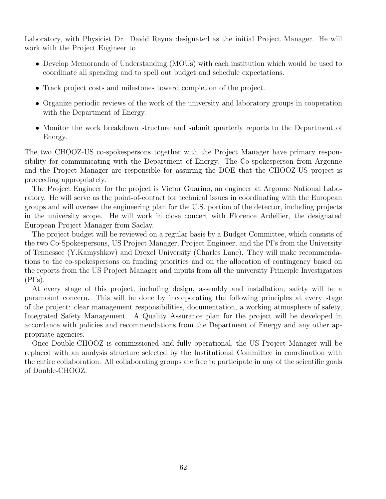Laboratory, with Physicist Dr. David Reyna designated as the initial Project Manager. He will work with the Project Engineer to

- Develop Memoranda of Understanding (MOUs) with each institution which would be used to coordinate all spending and to spell out budget and schedule expectations.
- Track project costs and milestones toward completion of the project.
- Organize periodic reviews of the work of the university and laboratory groups in cooperation with the Department of Energy.
- Monitor the work breakdown structure and submit quarterly reports to the Department of Energy.

The two CHOOZ-US co-spokespersons together with the Project Manager have primary responsibility for communicating with the Department of Energy. The Co-spokesperson from Argonne and the Project Manager are responsible for assuring the DOE that the CHOOZ-US project is proceeding appropriately.

The Project Engineer for the project is Victor Guarino, an engineer at Argonne National Laboratory. He will serve as the point-of-contact for technical issues in coordinating with the European groups and will oversee the engineering plan for the U.S. portion of the detector, including projects in the university scope. He will work in close concert with Florence Ardellier, the designated European Project Manager from Saclay.

The project budget will be reviewed on a regular basis by a Budget Committee, which consists of the two Co-Spokespersons, US Project Manager, Project Engineer, and the PI's from the University of Tennessee (Y.Kamyshkov) and Drexel University (Charles Lane). They will make recommendations to the co-spokespersons on funding priorities and on the allocation of contingency based on the reports from the US Project Manager and inputs from all the university Principle Investigators  $(PI's).$ 

At every stage of this project, including design, assembly and installation, safety will be a paramount concern. This will be done by incorporating the following principles at every stage of the project: clear management responsibilities, documentation, a working atmosphere of safety, Integrated Safety Management. A Quality Assurance plan for the project will be developed in accordance with policies and recommendations from the Department of Energy and any other appropriate agencies.

Once Double-CHOOZ is commissioned and fully operational, the US Project Manager will be replaced with an analysis structure selected by the Institutional Committee in coordination with the entire collaboration. All collaborating groups are free to participate in any of the scientific goals of Double-CHOOZ.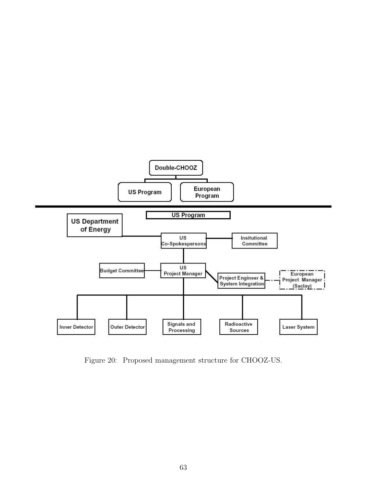

<span id="page-66-0"></span>Figure 20: Proposed management structure for CHOOZ-US.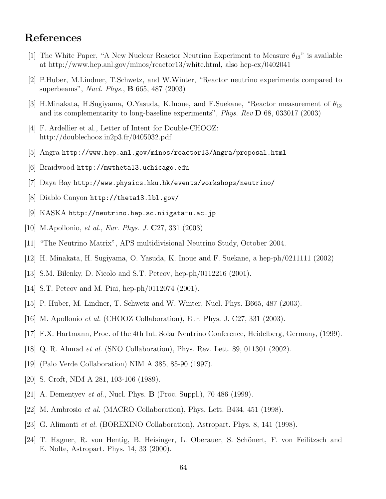# References

- [1] The White Paper, "A New Nuclear Reactor Neutrino Experiment to Measure  $\theta_{13}$ " is available at http://www.hep.anl.gov/minos/reactor13/white.html, also hep-ex/0402041
- [2] P.Huber, M.Lindner, T.Schwetz, and W.Winter, "Reactor neutrino experiments compared to superbeams", Nucl. Phys., B 665, 487 (2003)
- <span id="page-67-0"></span>[3] H.Minakata, H.Sugiyama, O.Yasuda, K.Inoue, and F.Suekane, "Reactor measurement of  $\theta_{13}$ and its complementarity to long-baseline experiments", Phys. Rev D 68, 033017 (2003)
- [4] F. Ardellier et al., Letter of Intent for Double-CHOOZ: http://doublechooz.in2p3.fr/0405032.pdf
- [5] Angra http://www.hep.anl.gov/minos/reactor13/Angra/proposal.html
- [6] Braidwood http://mwtheta13.uchicago.edu
- [7] Daya Bay http://www.physics.hku.hk/events/workshops/neutrino/
- [8] Diablo Canyon http://theta13.lbl.gov/
- [9] KASKA http://neutrino.hep.sc.niigata-u.ac.jp
- [10] M.Apollonio, et al., Eur. Phys. J. C27, 331 (2003)
- [11] "The Neutrino Matrix", APS multidivisional Neutrino Study, October 2004.
- [12] H. Minakata, H. Sugiyama, O. Yasuda, K. Inoue and F. Suekane, a hep-ph/0211111 (2002)
- [13] S.M. Bilenky, D. Nicolo and S.T. Petcov, hep-ph/0112216 (2001).
- [14] S.T. Petcov and M. Piai, hep-ph/0112074 (2001).
- [15] P. Huber, M. Lindner, T. Schwetz and W. Winter, Nucl. Phys. B665, 487 (2003).
- [16] M. Apollonio et al. (CHOOZ Collaboration), Eur. Phys. J. C27, 331 (2003).
- [17] F.X. Hartmann, Proc. of the 4th Int. Solar Neutrino Conference, Heidelberg, Germany, (1999).
- [18] Q. R. Ahmad et al. (SNO Collaboration), Phys. Rev. Lett. 89, 011301 (2002).
- [19] (Palo Verde Collaboration) NIM A 385, 85-90 (1997).
- [20] S. Croft, NIM A 281, 103-106 (1989).
- [21] A. Dementyev *et al.*, Nucl. Phys. **B** (Proc. Suppl.), 70 486 (1999).
- [22] M. Ambrosio et al. (MACRO Collaboration), Phys. Lett. B434, 451 (1998).
- [23] G. Alimonti et al. (BOREXINO Collaboration), Astropart. Phys. 8, 141 (1998).
- [24] T. Hagner, R. von Hentig, B. Heisinger, L. Oberauer, S. Schönert, F. von Feilitzsch and E. Nolte, Astropart. Phys. 14, 33 (2000).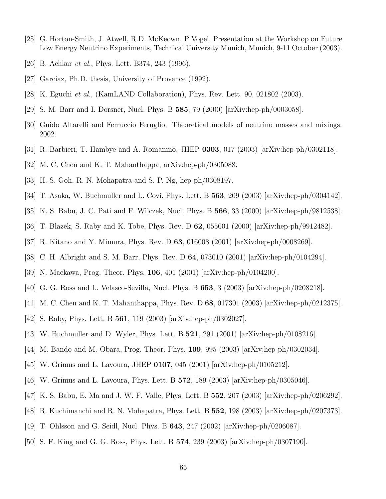- [25] G. Horton-Smith, J. Atwell, R.D. McKeown, P Vogel, Presentation at the Workshop on Future Low Energy Neutrino Experiments, Technical University Munich, Munich, 9-11 October (2003).
- [26] B. Achkar et al., Phys. Lett. B374, 243 (1996).
- [27] Garciaz, Ph.D. thesis, University of Provence (1992).
- [28] K. Eguchi et al., (KamLAND Collaboration), Phys. Rev. Lett. 90, 021802 (2003).
- [29] S. M. Barr and I. Dorsner, Nucl. Phys. B 585, 79 (2000) [arXiv:hep-ph/0003058].
- [30] Guido Altarelli and Ferruccio Feruglio. Theoretical models of neutrino masses and mixings. 2002.
- [31] R. Barbieri, T. Hambye and A. Romanino, JHEP 0303, 017 (2003) [arXiv:hep-ph/0302118].
- [32] M. C. Chen and K. T. Mahanthappa, arXiv:hep-ph/0305088.
- [33] H. S. Goh, R. N. Mohapatra and S. P. Ng, hep-ph/0308197.
- [34] T. Asaka, W. Buchmuller and L. Covi, Phys. Lett. B  $563$ , 209 (2003) [arXiv:hep-ph/0304142].
- [35] K. S. Babu, J. C. Pati and F. Wilczek, Nucl. Phys. B 566, 33 (2000) [arXiv:hep-ph/9812538].
- [36] T. Blazek, S. Raby and K. Tobe, Phys. Rev. D 62, 055001 (2000) [arXiv:hep-ph/9912482].
- [37] R. Kitano and Y. Mimura, Phys. Rev. D 63, 016008 (2001) [arXiv:hep-ph/0008269].
- [38] C. H. Albright and S. M. Barr, Phys. Rev. D 64, 073010 (2001) [arXiv:hep-ph/0104294].
- [39] N. Maekawa, Prog. Theor. Phys. 106, 401 (2001) [arXiv:hep-ph/0104200].
- [40] G. G. Ross and L. Velasco-Sevilla, Nucl. Phys. B 653, 3 (2003) [arXiv:hep-ph/0208218].
- [41] M. C. Chen and K. T. Mahanthappa, Phys. Rev. D 68, 017301 (2003) [arXiv:hep-ph/0212375].
- [42] S. Raby, Phys. Lett. B 561, 119 (2003) [arXiv:hep-ph/0302027].
- [43] W. Buchmuller and D. Wyler, Phys. Lett. B 521, 291 (2001) [arXiv:hep-ph/0108216].
- [44] M. Bando and M. Obara, Prog. Theor. Phys. **109**, 995 (2003) [arXiv:hep-ph/0302034].
- [45] W. Grimus and L. Lavoura, JHEP 0107, 045 (2001) [arXiv:hep-ph/0105212].
- [46] W. Grimus and L. Lavoura, Phys. Lett. B 572, 189 (2003) [arXiv:hep-ph/0305046].
- [47] K. S. Babu, E. Ma and J. W. F. Valle, Phys. Lett. B 552, 207 (2003) [arXiv:hep-ph/0206292].
- [48] R. Kuchimanchi and R. N. Mohapatra, Phys. Lett. B 552, 198 (2003) [arXiv:hep-ph/0207373].
- [49] T. Ohlsson and G. Seidl, Nucl. Phys. B 643, 247 (2002) [arXiv:hep-ph/0206087].
- [50] S. F. King and G. G. Ross, Phys. Lett. B 574, 239 (2003) [arXiv:hep-ph/0307190].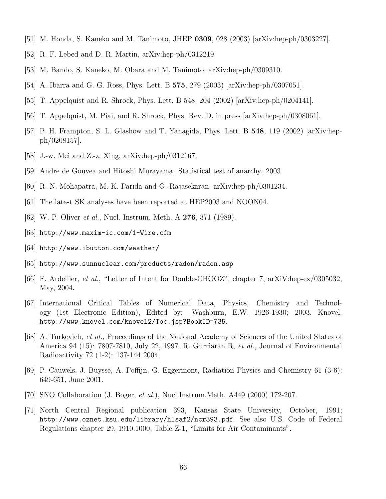- [51] M. Honda, S. Kaneko and M. Tanimoto, JHEP 0309, 028 (2003) [arXiv:hep-ph/0303227].
- [52] R. F. Lebed and D. R. Martin, arXiv:hep-ph/0312219.
- [53] M. Bando, S. Kaneko, M. Obara and M. Tanimoto, arXiv:hep-ph/0309310.
- [54] A. Ibarra and G. G. Ross, Phys. Lett. B 575, 279 (2003) [arXiv:hep-ph/0307051].
- [55] T. Appelquist and R. Shrock, Phys. Lett. B 548, 204 (2002) [arXiv:hep-ph/0204141].
- [56] T. Appelquist, M. Piai, and R. Shrock, Phys. Rev. D, in press [arXiv:hep-ph/0308061].
- [57] P. H. Frampton, S. L. Glashow and T. Yanagida, Phys. Lett. B 548, 119 (2002) [arXiv:hepph/0208157].
- [58] J.-w. Mei and Z.-z. Xing, arXiv:hep-ph/0312167.
- [59] Andre de Gouvea and Hitoshi Murayama. Statistical test of anarchy. 2003.
- [60] R. N. Mohapatra, M. K. Parida and G. Rajasekaran, arXiv:hep-ph/0301234.
- <span id="page-69-0"></span>[61] The latest SK analyses have been reported at HEP2003 and NOON04.
- <span id="page-69-1"></span>[62] W. P. Oliver *et al.*, Nucl. Instrum. Meth. A **276**, 371 (1989).
- <span id="page-69-2"></span>[63] http://www.maxim-ic.com/1-Wire.cfm
- <span id="page-69-3"></span> $|64|$  http://www.ibutton.com/weather/
- <span id="page-69-4"></span>[65] http://www.sunnuclear.com/products/radon/radon.asp
- <span id="page-69-5"></span>[66] F. Ardellier, et al., "Letter of Intent for Double-CHOOZ", chapter 7, arXiV:hep-ex/0305032, May, 2004.
- [67] International Critical Tables of Numerical Data, Physics, Chemistry and Technology (1st Electronic Edition), Edited by: Washburn, E.W. 1926-1930; 2003, Knovel. http://www.knovel.com/knovel2/Toc.jsp?BookID=735.
- <span id="page-69-6"></span>[68] A. Turkevich, et al., Proceedings of the National Academy of Sciences of the United States of America 94 (15): 7807-7810, July 22, 1997. R. Gurriaran R, et al., Journal of Environmental Radioactivity 72 (1-2): 137-144 2004.
- <span id="page-69-7"></span>[69] P. Cauwels, J. Buysse, A. Poffijn, G. Eggermont, Radiation Physics and Chemistry 61 (3-6): 649-651, June 2001.
- <span id="page-69-9"></span><span id="page-69-8"></span>[70] SNO Collaboration (J. Boger, et al.), Nucl.Instrum.Meth. A449 (2000) 172-207.
- [71] North Central Regional publication 393, Kansas State University, October, 1991; http://www.oznet.ksu.edu/library/hlsaf2/ncr393.pdf. See also U.S. Code of Federal Regulations chapter 29, 1910.1000, Table Z-1, "Limits for Air Contaminants".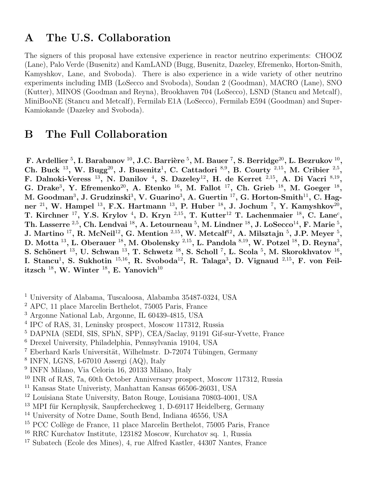# A The U.S. Collaboration

The signers of this proposal have extensive experience in reactor neutrino experiments: CHOOZ (Lane), Palo Verde (Busenitz) and KamLAND (Bugg, Busenitz, Dazeley, Efremenko, Horton-Smith, Kamyshkov, Lane, and Svoboda). There is also experience in a wide variety of other neutrino experiments including IMB (LoSecco and Svoboda), Soudan 2 (Goodman), MACRO (Lane), SNO (Kutter), MINOS (Goodman and Reyna), Brookhaven 704 (LoSecco), LSND (Stancu and Metcalf), MiniBooNE (Stancu and Metcalf), Fermilab E1A (LoSecco), Fermilab E594 (Goodman) and Super-Kamiokande (Dazeley and Svoboda).

# B The Full Collaboration

F. Ardellier  $^5,$  I. Barabanov  $^{10},$  J.C. Barrière  $^5,$  M. Bauer  $^7,$  S. Berridge $^{20},$  L. Bezrukov  $^{10},$ Ch. Buck <sup>13</sup>, W. Bugg<sup>20</sup>, J. Busenitz<sup>1</sup>, C. Cattadori<sup>8,9</sup>, B. Courty <sup>2,15</sup>, M. Cribier <sup>2,5</sup>, F. Dalnoki-Veress<sup>13</sup>, N. Danilov<sup>4</sup>, S. Dazeley<sup>12</sup>, H. de Kerret<sup>2,15</sup>, A. Di Vacri<sup>8,19</sup>, G. Drake<sup>3</sup>, Y. Efremenko<sup>20</sup>, A. Etenko<sup>16</sup>, M. Fallot<sup>17</sup>, Ch. Grieb<sup>18</sup>, M. Goeger<sup>18</sup>, M. Goodman<sup>3</sup>, J. Grudzinski<sup>3</sup>, V. Guarino<sup>3</sup>, A. Guertin <sup>17</sup>, G. Horton-Smith<sup>11</sup>, C. Hagner <sup>21</sup>, W. Hampel <sup>13</sup>, F.X. Hartmann <sup>13</sup>, P. Huber <sup>18</sup>, J. Jochum <sup>7</sup>, Y. Kamyshkov<sup>20</sup>, T. Kirchner <sup>17</sup>, Y.S. Krylov<sup>4</sup>, D. Kryn <sup>2,15</sup>, T. Kutter<sup>12</sup> T. Lachenmaier <sup>18</sup>, C. Lane<sup>c</sup>, Th. Lasserre  $^{2,5},$  Ch. Lendvai  $^{18},$  A. Letourneau  $^5,$  M. Lindner  $^{18},$  J. LoSecco $^{14},$  F. Marie  $^5,$ J. Martino  $^{17}$ , R. McNeil<sup>12</sup>, G. Mention  $^{2,15}$ , W. Metcalf<sup>12</sup>, A. Milsztajn  $^5$ , J.P. Meyer  $^5$ , D. Motta  $^{13}$ , L. Oberauer  $^{18}$ , M. Obolensky  $^{2,15}$ , L. Pandola  $^{8,19}$ , W. Potzel  $^{18}$ , D. Reyna $^3$ , S. Schönert  $^{13}$ , U. Schwan  $^{13}$ , T. Schwetz  $^{18}$ , S. Scholl  $^{7}$ , L. Scola  $^{5}$ , M. Skorokhvatov  $^{16}$ , I. Stancu<sup>1</sup>, S. Sukhotin<sup>15,16</sup>, R. Svoboda<sup>12</sup>, R. Talaga<sup>3</sup>, D. Vignaud<sup>2,15</sup>, F. von Feilitzsch  $^{18}$ , W. Winter  $^{18}$ , E. Yanovich $^{10}$ 

- <sup>1</sup> University of Alabama, Tuscaloosa, Alabamba 35487-0324, USA
- <sup>2</sup> APC, 11 place Marcelin Berthelot, 75005 Paris, France
- <sup>3</sup> Argonne National Lab, Argonne, IL 60439-4815, USA
- 4 IPC of RAS, 31, Leninsky prospect, Moscow 117312, Russia
- <sup>5</sup> DAPNIA (SEDI, SIS, SPhN, SPP), CEA/Saclay, 91191 Gif-sur-Yvette, France
- <sup>6</sup> Drexel University, Philadelphia, Pennsylvania 19104, USA
- $7$  Eberhard Karls Universität, Wilhelmstr. D-72074 Tübingen, Germany
- 8 INFN, LGNS, I-67010 Assergi (AQ), Italy
- 9 INFN Milano, Via Celoria 16, 20133 Milano, Italy
- <sup>10</sup> INR of RAS, 7a, 60th October Anniversary prospect, Moscow 117312, Russia
- <sup>11</sup> Kansas State Univeristy, Manhattan Kansas 66506-26031, USA
- <sup>12</sup> Louisiana State University, Baton Rouge, Louisiana 70803-4001, USA
- $13$  MPI für Kernphysik, Saupfercheckweg 1, D-69117 Heidelberg, Germany
- <sup>14</sup> University of Notre Dame, South Bend, Indiana 46556, USA
- <sup>15</sup> PCC Collège de France, 11 place Marcelin Berthelot, 75005 Paris, France
- <sup>16</sup> RRC Kurchatov Institute, 123182 Moscow, Kurchatov sq. 1, Russia
- <sup>17</sup> Subatech (Ecole des Mines), 4, rue Alfred Kastler, 44307 Nantes, France